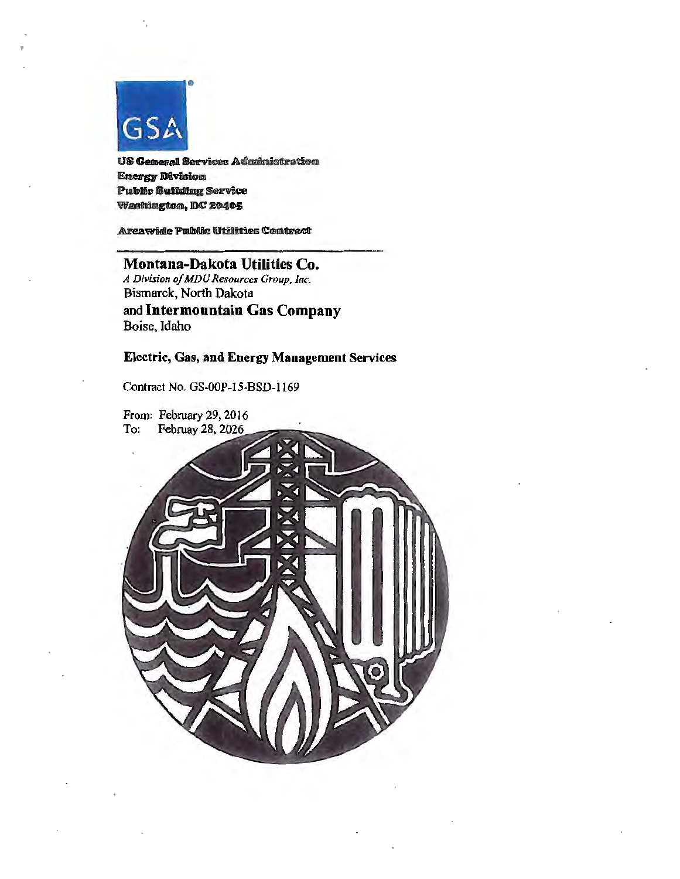

US General Services Administration Energ Divlalon Public Building Service Washington, DC 20405

Areawide Public Utilities Contract

Montana-Dakota Utilities Co. *A Division of MDU Resources Group, Inc.* Bismarck, North Dakota and Intermountain Gas Company Boise, Idaho

### Electric, Gas, and Energy Management Services

Contract No. GS·OOP-15-BSD-1169

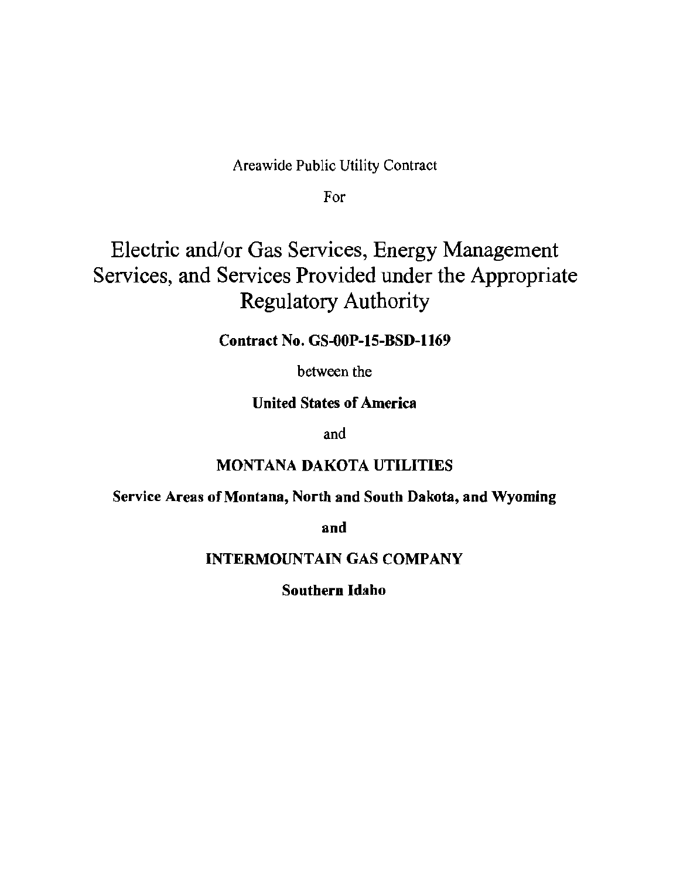Areawide Public Utility Contract

For

# Electric and/or Gas Services, Energy Management Services, and Services Provided under the Appropriate Regulatory Authority

Contract No. GS-OOP-15-BSD-1169

between the

# United States of America

and

# MONTANA DAKOTA UTILITIES

# Service Areas of Montana, North and South Dakota, and Wyoming

and

# INTERMOUNTAIN GAS COMPANY

# Southern Idaho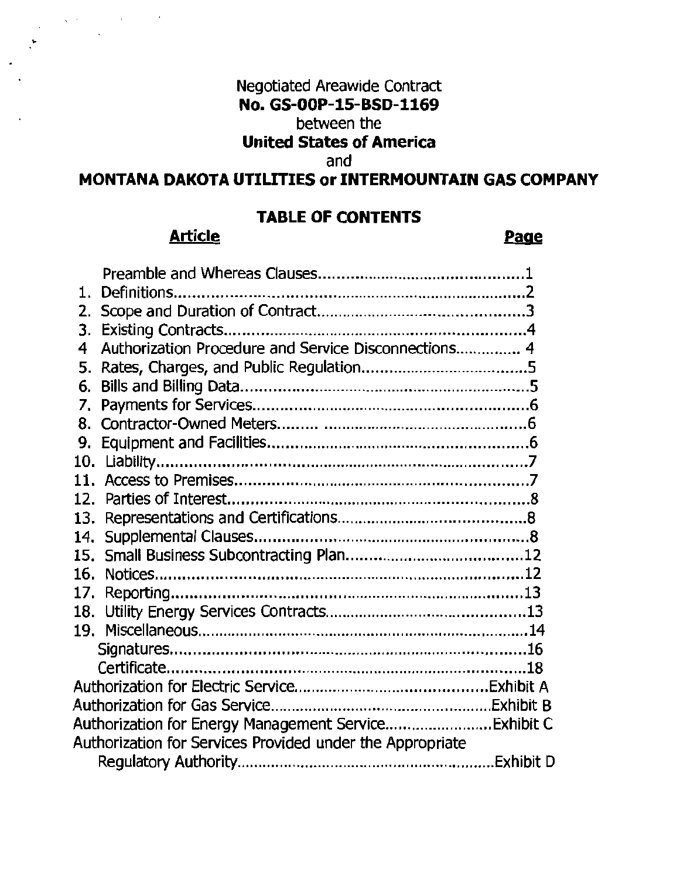# Negotiated Areawide Contract No. GS-OOP-15-BSD-1169

# between the

# United States of America

# and

# MONTANA DAKOTA UTILITIES or INTERMOUNTAIN GAS COMPANY

# TABLE OF CONTENTS

# Article Page

. '

| 1.                                                        |                                                       |  |  |
|-----------------------------------------------------------|-------------------------------------------------------|--|--|
| 2.                                                        |                                                       |  |  |
| 3.                                                        |                                                       |  |  |
| 4                                                         | Authorization Procedure and Service Disconnections 4  |  |  |
| 5.                                                        |                                                       |  |  |
| 6.                                                        |                                                       |  |  |
| 7.                                                        |                                                       |  |  |
|                                                           |                                                       |  |  |
| 9.                                                        |                                                       |  |  |
|                                                           |                                                       |  |  |
|                                                           |                                                       |  |  |
|                                                           |                                                       |  |  |
| 13.                                                       |                                                       |  |  |
| 14.                                                       |                                                       |  |  |
|                                                           |                                                       |  |  |
|                                                           |                                                       |  |  |
|                                                           |                                                       |  |  |
|                                                           |                                                       |  |  |
|                                                           |                                                       |  |  |
|                                                           |                                                       |  |  |
|                                                           |                                                       |  |  |
|                                                           |                                                       |  |  |
|                                                           |                                                       |  |  |
|                                                           | Authorization for Energy Management Service Exhibit C |  |  |
| Authorization for Services Provided under the Appropriate |                                                       |  |  |
|                                                           |                                                       |  |  |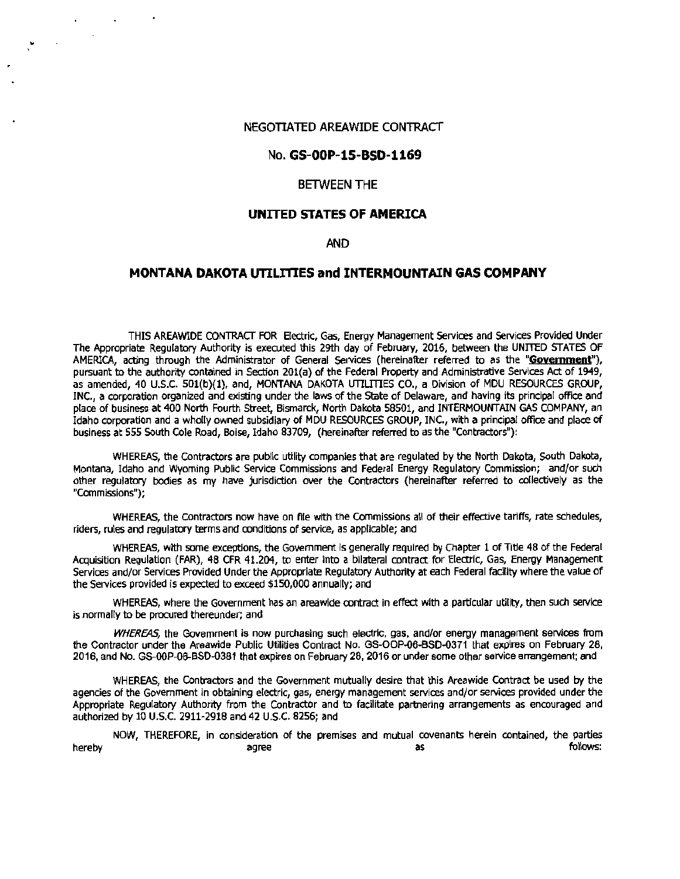#### NEGOTIATED AREAWIDE CONTRACT

 $\ddot{\phantom{0}}$ 

 $\mathcal{L}_{\mathcal{A}}$ 

 $\mathbf{v}$ 

#### No. **GS-OOP-15-BSD·1169**

#### BETWEEN THE

#### **UNITED STATES OF AMERICA**

#### AND

#### **MONTANA DAKOTA UTILITTES and INTERMOUNTAIN GAS COMPANY**

THIS AREAWIDE CONTRACT FOR Electric, Gas, Energy Management Services and Services Provided Under The Appropriate Regulatory Authority is executed this 29th day of February, 2016, between the UNITED STATES OF AMERICA, acting through the Administrator of General Services (hereinafter referred to as the **"Goyemment"),**  pursuant to the authority contained in Section 201(a) of the Federal Property and Administrative Services Act of 1949, as amended, 40 U.S.C. 501(b)(l), and, MONTANA DAKOTA LITILITIES CO., a Division of MDU RESOURCES GROUP, INC., a corporation organized and existing under the laws of the State of Delaware, and having its principal office and place of business at 400 North Fourth Street, Bismarck, North Dakota 58501, and INTERMOUNTAIN GAS COMPANY, an Idaho corporation and a wholly owned subsidiary of MDU RESOURCES GROUP, INC., with a principal office and place of business at 555 South Cole Road, Boise, Idaho 83709, (hereinafter referred to as the "Contractors"):

WHEREAS, the Contractors are public utility companies that are regulated by the North Dakota, South Dakota, Montana, Idaho and Wyoming Public Service Commissions and Federal Energy Regulatory Commission; and/or such other regulatory bodies as my have jurisdiction over the Contractors {hereinafter referred to collectively as the "Commissions");

WHEREAS, the Contractors now have on file with the Commissions all of their effective tariffs, rate schedules, riders, rules and regulatory terms and conditions of service, as applicable; and

WHEREAS, with some exceptions, the Government is generally required by Chapter 1 of Title 48 of the Federal Acquisition Regulation (FAR), 48 CFR 41.204, to enter into a bilateral contract for Electric, Gas, Energy Management Services and/or Services Provided Under the Appropriate Regulatory Authority at each Federal facility where the value of the Services provided is expected to exceed \$150,000 annually; and

WHEREAS, where the Government has an areawide contract in effect with a particular utility, then such service is normally to be procured thereunder; and

WHEREAS, the Government is now purchasing such electric, gas, and/or energy management services from the Contractor under the Areawide Public Utilities Contract No. GS-OOP-06-BSD-0371 that expires on February 28, 2016, and No. GS-OOP-06-BSD-0381 that expires on February 28, 2016 or under some other service arrangement; and

WHEREAS, the Contractors and the Government mutually desire that this Areawide Contract be used by the agencies of the Government In obtaining electric, gas, energy management services and/or services provided under the Appropriate Regulatory Authority from the Contractor and to facilitate partnering arrangements as encouraged and authorized by 10 U.S.C. 2911-2918 and 42 U.S.C. 8256; and

NOW, THEREFORE, in consideration of the premises and mutual covenants herein contained, the parties<br>acree as hereby agree as follows: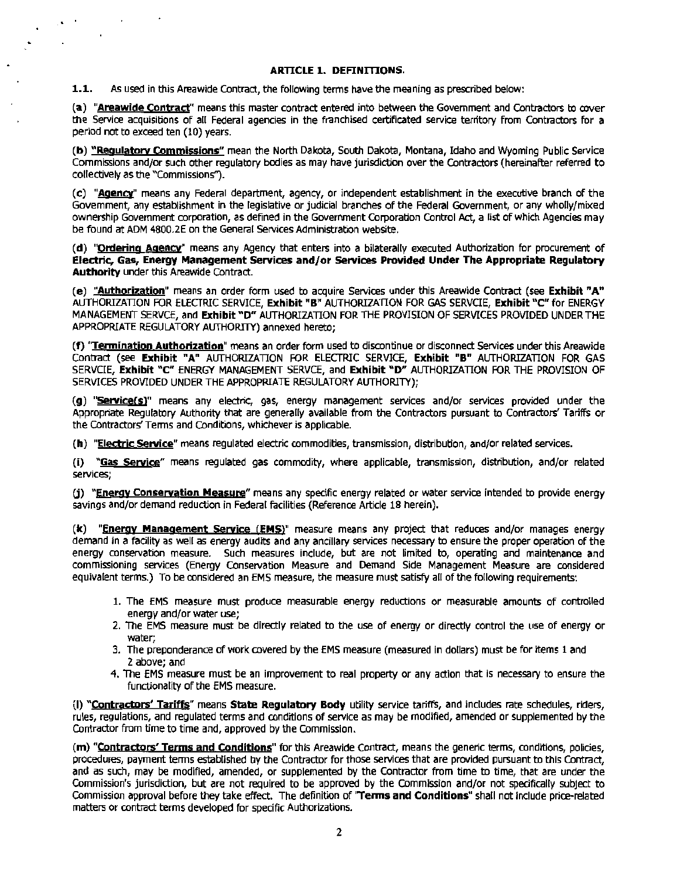#### **ARTICLE 1. DEFINITIONS.**

1.1. As used in this Areawide Contract, the following terms have the meaning as prescribed below:

'.

 $\cdot$ 

(a) "Areawide Contract" means this master contract entered into between the Government and Contractors to cover the Service acquisitions of all Federal agencies in the franchised certificated service territory from Contractors for a period not to exceed ten (10) years.

(b) "Requlatorv Commissions" mean the North Dakota, South Dakota, Montana, Idaho and Wyoming Public Service Commissions and/or such other regulatory bodies as may have jurisdiction over the Contractors (hereinafter referred to collectively as the "Commissions").

(c) "Agency" means any Federal department, agency, or independent establishment in the executive branch of the Government, any establishment in the legislative or judicial branches of the Federal Government, or any wholly/mixed ownership Government corporation, as defined in the Government Corporation Control Act, a list of which Agencies may be found at ADM 4800.2E on the General Services Administration website.

(d) "Ordering Agency" means any Agency that enters into a bilaterally executed Authorization for procurement of Electric, Gas, Energy Management Services and/or Services Provided Under The Appropriate Regulatory Authority under this Areawide Contract.

(e) "Authorization" means an order form used to acquire Services under this Areawide Contract (see Exhibit "A" AUTHORIZATION FOR ELECTRIC SERVICE. Exhibit "B" AUTHORIZATION FOR GAS SERVCIE. Exhibit "C" for ENERGY MANAGEMENT SERVCE, and Exhibit "D" AUTHORIZATION FOR THE PROVISION OF SERVICES PROVIDED UNDER THE APPROPRIATE REGULATORY AUTHORITY) annexed hereto;

(f) "Termination Authorization" means an order form used to discontinue or disconnect Services under this Areawide Contract (see Exhibit "A" AUTHORIZATION FOR ELECTRIC SERVICE, Exhibit "B" AUTHORIZATION FOR GAS SERVCIE, **Exhibit "C"** ENERGY MANAGEMENT SERVCE, and **Exhibit "D"** AUTHORIZATION FOR THE PROVISION OF SERVICES PROVIDED UNDER THE APPROPRIATE REGULATORY AUTHORITY);

(g) "Service(s)" means any electric, gas, energy management services and/or services provided under the Appropriate Regulatory Authority that are generally available from the Contractors pursuant to Contractors' Tariffs or the Contractors' Terms and Conditions, whichever is applicable.

(h) "Electric Service" means regulated electric commodities, transmission, distribution, and/or related services.

(i) "Gas Service" means regulated gas commodity, where applicable, transmission, distribution, and/or related services;

(j) "Energy Conservation Measure" means any specific energy related or water service intended to provide energy savings and/or demand reduction in Federal facilities {Reference Article 18 herein).

(k) "Energy Management Service (EMS)" measure means any project that reduces and/or manages energy demand in a facility as well as energy audits and any ancillary services necessary to ensure the proper operation of the energy conservation measure. Such measures include, but are not limited to, operating and maintenance and commissioning services (Energy Conservation Measure and Demand Side Management Measure are considered equivalent terms.) To be considered an EMS measure, the measure must satisfy all of the following requirements:

- 1. The EMS measure must produce measurable energy reductions or measurable amounts of controlled energy and/or water use;
- 2. The EMS measure must be directly related to the use of energy or directly control the use of energy or water;
- 3. The preponderance of work covered by the EMS measure (measured in dollars) must be for items 1 and 2 above; and
- 4. The EMS measure must be an improvement to real property or any action that is necessary to ensure the functionality of the EMS measure.

(I) "Contractors' Tariffs" means State Regulatory Body utility service tariffs, and includes rate schedules, riders, rules, regulations, and regulated terms and conditions of service as may be modified, amended or supplemented by the Contractor from time to time and, approved by the Commission.

(m) "Contractors' Terms and Conditions" for this Areawide Contract, means the generic terms, conditions, policies, procedures, payment terms established by the Contractor for those services that are provided pursuant to this Contract, and as such, may be modified, amended, or supplemented by the Contractor from time to time, that are under the Commission's jurisdiction, but are not required to be approved by the Commission and/or not specifically subject to Commission approval before they take effect. The definition of 'Terms and Conditions" shall not Include price-related matters or contract terms developed for specific Authorizations.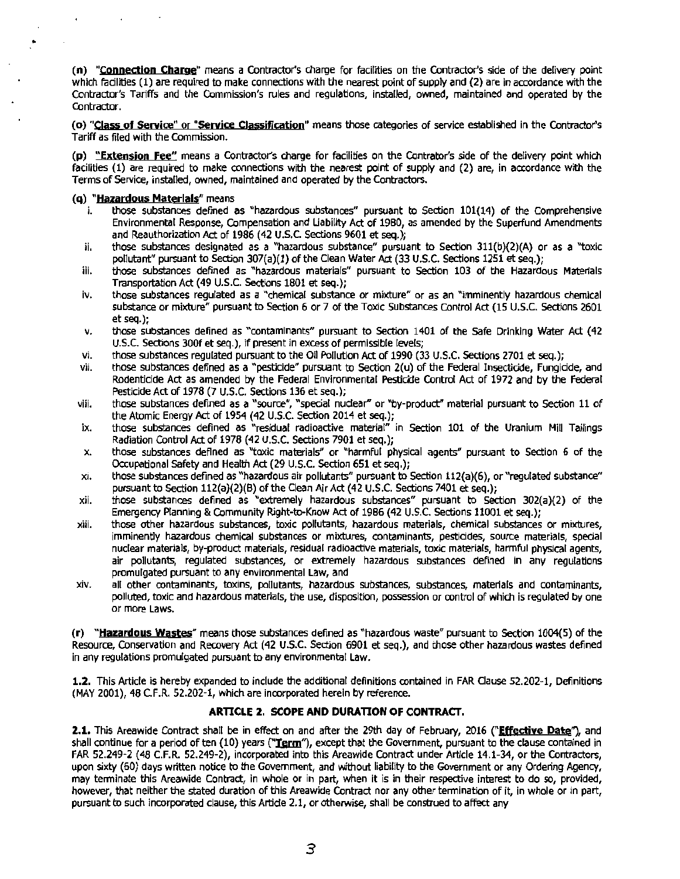(n) "Connection Charge" means a Contractor's charge for facilities on the Contractor's side of the delivery point which facilities (1) are required to make connections with the nearest point of supply and (2) are in accordance with the Contractor's Tariffs and the Commission's rules and regulations, installed, owned, maintained and operated by the Contractor.

(o) "Class of Service" or "Service Classification" means those categories of service established in the Contractor's Tariff as filed with the Commission.

(p) "Extensjon Fee" means a Contractor's charge for facilities on the Contrator's side of the delivery point which facilities (1) are required to make connections with the nearest point of supply and (2) are, in accordance with the Terms of Service, installed, owned, maintained and operated by the Contractors.

# (q) "**Hazardous Materlals**" means<br>i bose substances defined a

٠

- those substances defined as "hazardous substances" pursuant to Section 101(14) of the Comprehensive Environmental Response, Compensation and Liability Act of 1980, as amended by the Superfund Amendments and Reauthorization Act of 1986 (42 U.S.C. Sections 9601 et seq.);
- ii. those substances designated as a "hazardous substance" pursuant to Section  $311(b)(2)(A)$  or as a "toxic pollutant" pursuant to Section 307(a)(1) of the Clean Water Act (33 U.S.C. Sections 1251 et seq.);
- iii. those substances defined as "hazardous materials" pursuant to Section 103 of the Hazardous Materials Transportation Act (49 U.S.C. Sections 1801 et seq.);
- iv. those substances regulated as a "chemical substance or mixture" or as an "imminently hazardous chemical substance or mixture" pursuant to Section 6 or 7 of the Toxic Substances Control Act (15 U.S.C. Sections 2601 et seq.);
- v. those substances defined as "contaminants" pursuant to Section 1401 of the Safe Drinking Water Act (42 U.S.C. Sections 300f et seq.), if present in excess of permissible levels;
- vi. those substances regulated pursuant to the Oil Pollution Act of 1990 (33 U.S.C. Sections 2701 et seg.);
- vii. those substances defined as a "'pesticide" pursuant to Section 2(u) of the Federal Insecticide, Fungicide, and Rodenticide Act as amended by the Federal Environmental Pesticide Control Act of 1972 and by the Federal Pesticide Act of 1978 (7 U.S.C. Sections 136 et seq.);
- viii. those substances defined as a "source", "special nudear" or "by-product" material pursuant to Section 11 of the Atomic Energy Act of 1954 {42 U.S.C. Section 2014 et seq.);
- ix. those substances defined as "residual radioactive material" in Section 101 of the Uranium Mill Tailings Radiation Control Act of 1978 (42 U.S.C. Sections 7901 et seq.);
- x. those substances defined as "toxic materials" or "harmful physical agents" pursuant to Section 6 of the Occupational Safety and Health Act (29 U.S.C. Section 651 et seq.);
- $xi$ . those substances defined as "hazardous air pollutants" pursuant to Section 112(a)(6), or "regulated substance" pursuant to Section 112(a)(2)(B) of the Clean Air Act (42 U.S.C. Sections 7401 et seq.);
- xii. those substances defined as "extremely hazardous substances" pursuant to Section 302(a)(2) of the Emergency Planning & Community Right-to-Know Act of 1986 (42 U.S.C. Sections 11001 et seq.);
- xiii. those other hazardous substances, toxic pollutants, hazardous materials, chemical substances or mixtures, imminently hazardous chemical substances or mixtures, contaminants, pesticides, source materials, special nuclear materials, by-product materials, residual radioactive materials, toxic materiats, harmful physical agents, air pollutants, regulated substances, or extremely hazardous substances defined in any regulations promulgated pursuant to any environmental Law, and
- xiv. all other contaminants, toxins, pollutants, hazardous substances, substances, materials and contaminants, polluted, toxic and hazardous materials, the use, disposition, possession or control of which is regulated by one or more laws.

(r) " Hazarclous Wastes" means those substances defined as "hazardous waste" pursuant to Section 1004(5) of the Resource, Conservation and Recovery Act (42 U.S.C. Section 6901 et seq.), and those other hazardous wastes defined in any regulations promulgated pursuant to any environmental Law.

1.2. This Article is hereby expanded to include the additional definitions contained in FAR Clause 52.202-1, Definitions (MAY 2001), 48 C.F.R. 52.202-1, which are incorporated herein by reference.

#### ARTICLE 2. SCOPE AND DURATION OF CONTRACT.

2.1. This Areawide Contract shall be in effect on and after the 29th day of February, 2016 {"Effective Date"), and shall continue for a period of ten (10) years ("Term"), except that the Government, pursuant to the clause contained in FAR 52.249-2 (48 C.F.R. 52.249-2), incorporated into this Areawide Contract under Article 14.1-34, or the Contractors, upon sixty (60) days written notice to the Government, and without liabillty to the Government or any Ordering Agency, may terminate this Areawide Contract, in whole or in part, when it is in their respective interest to do so, provided, however, that neither the stated duration of this Areawide Contract nor any other termination of it, in whole or in part, pursuant ta such incorporated clause, this Artide 2.1, or otherwise, shall be construed to affect any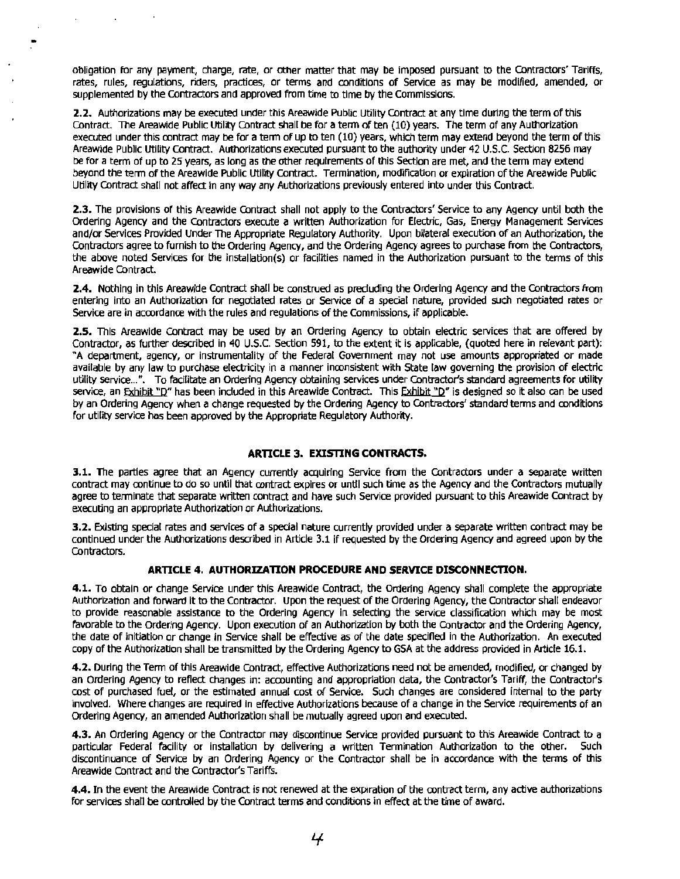obligation for any payment, charge, rate, or other matter that may be imposed pursuant to the Contractors' Tariffs, rates, rules, regulations, riders, practices, or terms and conditions of Service as may be modified, amended, or supplemented by the Contractors and approved from time to time by the Commissions.

•

**2.2.** Authorizations may be executed under this Areawide Public Utility Contract at any time during the term of this Contract. The Areawide Public Utility Contract shall be for a term of ten (10) years. The term of any Authorization executed under this contract may be for a term of up to ten (10) years, which term may extend beyond the term of this Areawide Public utility Contract. Authorizations executed pursuant to the authority under 42 U.S.C. Section 8256 may be for a term of up to 25 years, as long as the other requirements of this Section are met, and the term may extend beyond the term of the Areawide Public Utility Contract. Termination, modification or expiration of the Areawide Public Utility Contract shall not affect in any way any Authorizations previously entered Into under this Contract.

**2.3.** The provisions of this Areawide Contract shall not apply to the Contractors' Service to any Agency until both the Ordering Agency and the Contractors execute a written Authorization for Electric, Gas, Energy Management Services and/or Services Provided Under The Appropriate Regulatory Authority. Upon bilateral execution of an Authorization, the Contractors agree to furnish to the Ordering Agency, and the Ordering Agency agrees to purchase from the Contractors, the above noted Services for the installation(s) or facilities named in the Authorization pursuant to the terms of this Areawide Contract.

**2.4.** Nothing in this Areawide Contract shall be construed as precluding the Ordering Agency and the Contractors from entering Into an Authorization for negotiated rates or Service of a special nature, provided such negotiated rates or Service are in accordance with the rules and regulations of the Commissions, if applicable.

**2.5.** This Areawide Contract may be used by an Ordering Agency to obtain electric services that are offered by Contractor, as further described in 40 U.S.C. Section 591, to the extent it is applicable, (quoted here in relevant part): "A department, agency, or instrumentality of the Federal Government may not use amounts appropriated or made available by any law to purchase electricity in a manner inconsistent with State law governing the provision of electric utility service ...". To facilitate an Ordering Agency obtaining services under Contractor's standard agreements for utility service, an Exhibit "D" has been included in this Areawide Contract. This Exhibit "D" is designed so it also can be used by an Ordering Agency when a change requested by the Ordering Agency to Contractors' standard terms and ronditions for utility service has been approved by the Appropriate Regulatory Authority.

#### **ARTICLE 3. EXISTING CONTRACTS.**

**3.1.** The parties agree that an Agency currently acquiring Service from the Contractors under a separate written contract may continue to do so until that contract expires or until such time as the Agency and the Contractors mutually agree to terminate that separate written contract and have such Service provided pursuant to this Areawide Contract by executing an appropriate Authorization or Authorizations.

**3.2.** Existing special rates and services of a special nature currently provided under a separate written contract may be continued under the Authorizations described in Article 3.1 if requested by the Ordering Agency and agreed upon by the Contractors.

#### **ARTICLE 4. AUTHORIZATION PROCEDURE AND SERVICE DISCONNECTION.**

**4.1.** To obtain or change Service under this Areawide Contract, the Ordering Agency shall complete the appropriate Authorization and forward it to the Contractor. Upon the request of the Ordering Agency, the Contractor shall endeavor to provide reasonable assistance to the Ordering Agency in selecting the service classification which may be most favorable to the Ordering Agency. Upon execution of an Authorization by both the Contractor and the Ordering Agency, the date of initiation or change in Service shall be effective as of the date specified in the Authorization. An executed copy of the Authorization shall be transmitted by the Ordering Agency to GSA at the address provided in Article 16.1.

**4.2.** During the Term of this Areawide Contract, effective Authorizations need not be amended, modified, or changed by an Ordering Agency to reflect changes in: accounting and appropriation data, the Contractor's Tariff, the Contractor's cost of purchased fuel, or the estimated annual cost of Service. Such changes are considered internal to the party involved. Where changes are required in effective Authorizations because of a change in the Service requirements of an Ordering Agency, an amended Authorization shall be mutually agreed upon and executed.

**4.3.** An Ordering Agency or the Contractor may discontinue Service provided pursuant to this Areawide Contract to a particular Federal facility or installation by delivering a written Termination Authorization to the other. Such discontinuance of Service by an Ordering Agency or the Contractor shall be in accordance with the terms of this Areawide Contract and the Contractor's Tariffs.

**4.4.** In the event the Areawide Contract is not renewed at the expiration of the contract term, any active authorizations for services shall be controlled by the Contract terms and conditions in effect at the time of award.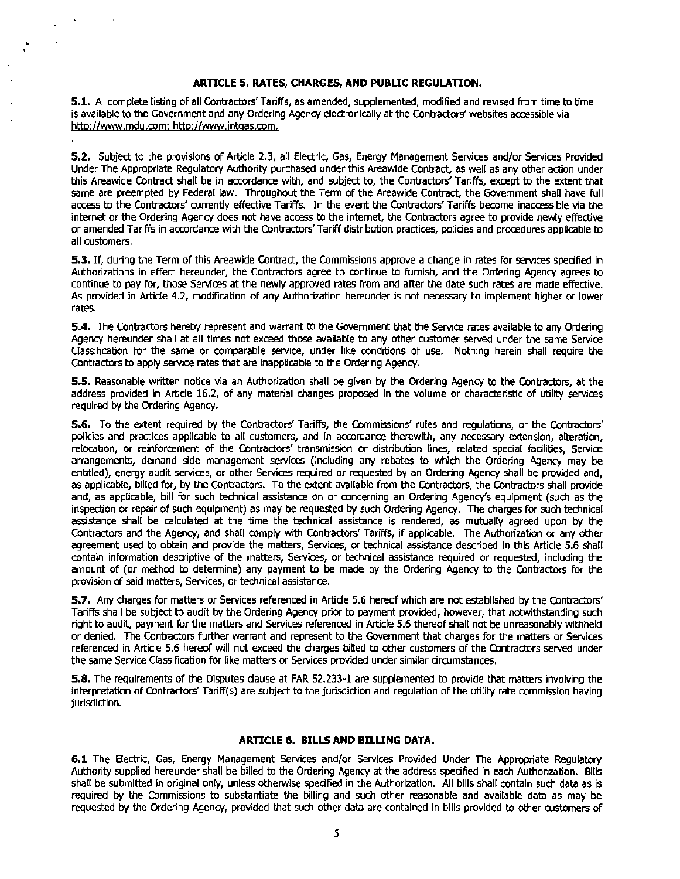#### **ARTICLE 5. RATES, CHARGES, AND PUBLIC REGULATION.**

..

**5.1.** A complete listing of all Contractors' Tariffs, as amended, supplemented, modified and revised from time ta time is available to the Government and any Ordering Agency electronically at the Contractors' websites accessible via http://www.mdu.com: http://www.intqas.com.

**5.2.** Subject to the provisions of Article 2.3, all Electric, Gas, Energy Management Services and/or Services Provided Under The Appropriate Regulatory Authority purchased under this Areawide Contract, as well as any other action under this Areawide Contract shall be in accordance with, and subject to, the Contractors' Tariffs, except to the extent that same are preempted by Federal law. Throughout the Term of the Areawide Contract, the Government shall have full access to the Contractors' currently effective Tariffs. In the event the Contractors' Tariffs become inaccessible via the internet or the Ordering Agency does not have access to the internet, the Contractors agree to provide newly effective or amended Tariffs in accordance with the Contractors' Tariff distribution practices, policies and procedures applicable to all customers.

**S.3.** If, during the Term of this Areawide Contract, the Commissions approve a change in rates for services specified in Authorizations in effect hereunder, the Contractors agree to continue to furnish, and the Ordering Agency agrees to continue to pay for, those Services at the newly approved rates from and after the date such rates are made effective. As provided in Article 4.2, modification of any Authorization hereunder is not necessary to implement higher or lower rates.

**5.4.** The Contractors hereby represent and warrant to the Government that the Service rates available to any Ordering Agency hereunder shall at all times not exceed those available to any other customer served under the same Service Classification for the same or comparable service, under like conditions of use. Nothing herein shall require the Contractors to apply service rates that are inapplicable to the Ordering Agency.

**S.S.** Reasonable written notice via an Authorization shall be given by the Ordering Agency to the Contractors, at the address provided in Article 16.2, of any material changes proposed in the volume or characteristic of utility services required by the Ordering Agency.

**5.6.** To the extent required by the Contractors' Tariffs, the Commissions' rules and regulations, or the Contractors' policies and practices applicable to all customers, and in accordance therewith, any necessary extension, alteration, relocation, or reinforcement of the Contractors' transmission or distribution lines, related special facilities, Service arrangements, demand side management services (including any rebates to which the Ordering Agency may be entitled), energy audit services, or other Services required or requested by an Ordering Agency shall be provided and, as applicable, billed for, by the Contractors. To the extent available from the Contractors, the Contractors shall provide and, as applicable, bill for such technical assistance on or concerning an Ordering Agency's equipment (such as the inspection or repair of such equipment) as may be requested by such Ordering Agency. The charges for such technical assistance shall be calculated at the time the technical assistance is rendered, as mutually agreed upon by the Contractors and the Agency, and shall comply with Contractors' Tariffs, if applicable. The Authorization or any other agreement used to obtain and provide the matters, Services, or technical assistance described in this Article 5.6 shall contain information descriptive of the matters, Services, or technical assistance required or requested, including the amount of (or method to determine) any payment to be made by the Ordering Agency to the contractors for the provision of said matters, Services, or technical assistance.

**5.7.** Any charges for matters or Services referenced in Article 5.6 hereof which are not established by the Contractors' Tariffs shall be subject to audit by the Ordering Agency prior to payment provided, however, that notwithstanding such right to audit, payment for the matters and Services referenced in Article 5.6 thereof shall not be unreasonably withheld or denied. The Contractors further warrant and represent to the Government that charges for the matters or Services referenced in Article 5.6 hereof will not exceed the charges billed to other customers of the Contractors served under the same Service Classification for like matters or Services provided under similar circumstances.

**S.S.** The requirements of the Disputes clause at FAR 52.233~**1** are supplemented to provide that matters involving the interpretation of Contractors' Tariff(s) are subject to the jurisdiction and regulation of the utility rate commission having jurisdiction.

#### **ARTICLE 6. BILLS AND BILUNG DATA.**

**6.1** The Electric, Gas, Energy Management Services and/or Services Provided Under The Appropriate Regulatory Authority supplied hereunder shall be billed to the Ordering Agency at the address specified in each Authorization. Bills shall be submitted in original only, unless otherwise specified in the Authorization. All bills shall contain such data as is required by the commissions to substantiate the billing and such other reasonable and available data as may be requested by the Ordering Agency, provided that such other data are contained in bills provided to other customers of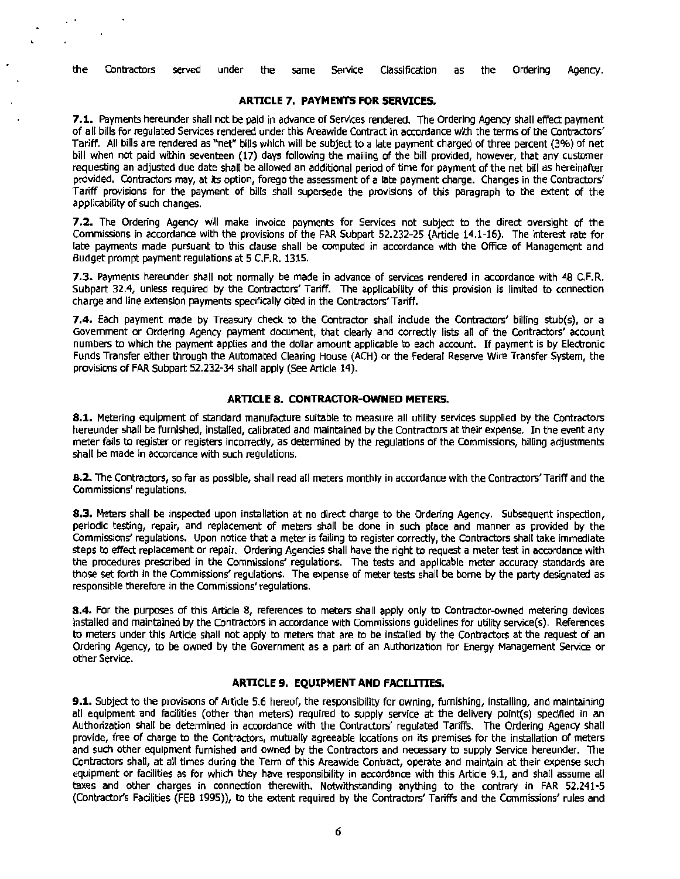the Contractors served under the same Service Classification as the Ordering Agency.

#### **ARTICLE 7. PAYMENTS FOR SERVICES.**

**7.1.** Payments hereunder shall not be paid in advance of Services rendered. The Ordering Agency shall effect payment of all bills for regulated Services rendered under this Areawide Contract in accordance with the terms of the Contractors' Tariff. All bills are rendered as "net" bills which will be subject to a late payment charged of three percent (3%) of net bill when not paid within seventeen (17) days following the mailing of the bill provided, however, that any customer requesting an adjusted due date shall be allowed an additional period of time for payment of the net bill as hereinafter provided. Contractors may, at Its option, forego the assessment of a late payment charge. Changes in the Contractors' Tariff provisions for the payment of bills shall supersede the provisions of this paragraph to the extent of the applicability of such changes.

**7 .2.** The Ordering Agency will make invoice payments for Services not subject to the direct oversight of the Commissions in accordance with the provisions of the FAR Subpart 52.232-25 (Article 14.1-16). The interest rate for late payments made pursuant to this clause shall be computed in accordance with the Office of Management and Budget prompt payment regulations at 5 C.F.R. 1315.

**7.3.** Payments hereunder shall not normally be made in advance of services rendered In accordance with 48 C.F.R. Subpart 32.4, unless required by the Contractors' Tariff. The applicability of this provision is limited to connection charge and line extension payments specifically cited in the Contractors' Tariff.

**7.4.** Each payment made by Treasury check to the Contractor shall indude the Contractors' billing stub(s), or a Government or Ordering Agency payment document, that clearly and correctly lists all of the Contractors' account numbers to which the payment applies and the dollar amount applicable to each account. If payment is by Electronic Funds Transfer either through the Automated Clearing House (ACH) or the Federal Reserve Wire Transfer System, the provisions of FAR Subpart 52.232-34 shall apply (See Article 14).

#### **ARTICLE 8. CONTRACTOR-OWNED METERS.**

**8.1.** Metering equipment of standard manufacture suitable to measure all utility services supplied by the Contractors hereunder shall be furnished, Installed, calibrated and maintained by the Contractors at their expense. In the event any meter fails to register or registers incorrectly, as determined by the regulations of the Commissions, billing adjustments shall be made in accordance with such regulations.

**8.2.** The Contractors, so far as possible, shall read all meters monthly in accordance with the Contractors' Tariff and the Commissions' regulations.

**8.3.** Meters shall be inspected upon installation at no direct charge to the Ordering Agency. Subsequent inspection, periodic testing, repair, and replacement of meters shall be done in such place and manner as provided by the Commissions' regulations. Upon notice that a meter is failing to register correctly, the Contractors shall take immediate steps to effect replacement or repair. Ordering Agencies shall have the right to request a meter test in accordance with the procedures prescribed in the Commissions' regulations. The tests and applicable meter accuracy standards are those set forth in the Commissions' regulations. The expense of meter tests shall be borne by the party designated as responsible therefore in the Commissions' regulations.

**8.4.** For the purposes of this Article 8, references to meters shall apply only to Contractor-owned metering devices installed and maintained by the Contractors in accordance with Commissions guidelines for utility service(s). References to meters under this Article shall not apply to meters that are to be installed by the Contractors at the request of an Ordering Agency, to be owned by the Government as a part of an Authorization for Energy Management Service or other Service.

#### **ARTICLE 9. EQUIPMENT AND FACILITIES.**

**9.1.** Subject to the provisions of Article 5.6 hereof, the responsibility for owning, furnishing, installing, and maintaining all equipment and facilities (other than meters) required to supply service at the delivery point(s) specified in an Authorization shall be determined in accordance with the Contractors' regulated Tariffs. The Ordering Agency shall provide, free of charge to the Contractors, mutually agreeable locations on its premises for the installation of meters and such other equipment furnished and owned by the Contractors and necessary to supply Service hereunder. The Contractors shall, at alt times during the Tenn of this Areawide Contract, operate and maintain at their expense such equipment or facilities as for which they have responsibility in accordance with this Article 9.1, and shall assume all taxes and other charges in connection therewith. Notwithstanding anything to the contrary in FAR 52.241-5 (Contractor's Facilities (FEB 1995)), to the extent required by the Contractors' Tariffs and the Commissions' rules and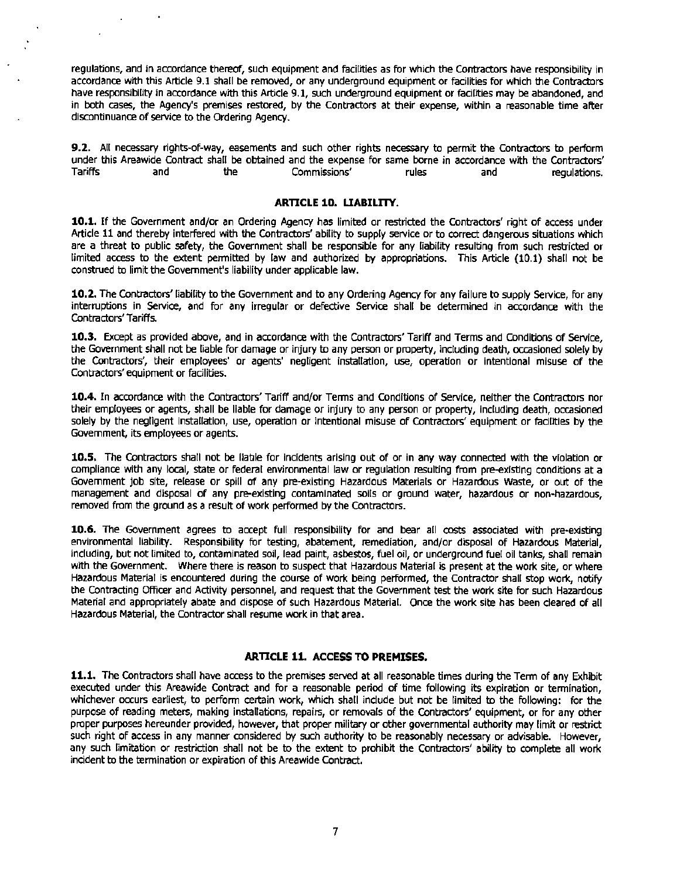regulations, and in accordance thereof, such equipment and facilities as for which the Contractors have responsibility in accordance with this Article 9.1 shall be removed, or any underground equipment or facilities for which the Contractors have responsibility in accordance with this Article 9.1, such underground equipment or facilities may be abandoned, and in both cases, the Agency's premises restored, by the Contractors at their expense, within a reasonable time after discontinuance of service to the Ordering Agency.

9.2. All necessary rights-of-way, easements and such other rights necessary to permit the Contractors to perform under this Areawide Contract shall be obtained and the expense for same borne in accordance with the Contractors' Tariffs and the Commissions' rules and regulations.

#### ARTICLE 10. UABILITY.

10.1. If the Government and/or an Ordering Agency has limited or restricted the Contractors' right of access under Article 11 and thereby interfered with the Contractors' ability to supply service or to correct dangerous situations which are a threat to public safety, the Government shall be responsible for any liability resulting from such restricted or limited access to the extent permitted by law and authorized by appropriations. This Article (10.1) shall not be construed to limit the Government's liability under applicable law.

10.2. The Contractors' liability to the Government and to any Ordering Agency for any failure to supply Service, for any interruptions in Service, and for any irregular or defective Service shall be determined in accordance with the Contractors' Tariffs.

10.3. Except as provided above, and in accordance with the Contractors' Tariff and Terms and Conditions of Service, the Government shall not be liable for damage or injury to any person or property, including death, occasioned solely by the Contractors', their employees' or agents' negligent installation, use, operation or intentional misuse of the Contractors' equipment or facilities.

10.4. In accordance with the Contractors' Tariff and/or Terms and Conditions of Service, neither the Contractors nor their employees or agents, shall be liable for damage or injury to any person or property, including death, occasioned solely by the negligent installation, use, operation or intentional misuse of Contractors' equipment or facilities by the Govemment, its employees or agents.

10.5. The Contractors shall not be liable for incidents arising out of or in any way connected with the violation or compliance with any local, state or federal environmental law or regulation resulting from pre-existing conditions at a Govemment job site, release or spill of any pre-existing Hazardous Materials or Hazardous Waste, or out of the management and disposal of any pre-existing contaminated soils or ground water, hazardous or non-hazardous, removed from the ground as a result of work performed by the Contractors.

10.6. The Government agrees to accept full responsibility for and bear all costs associated with pre-existing environmental liability. Responsibility tor testing, abatement, remediation, and/or disposal of Hazardous Material, including, but not limited to, contaminated soil, lead paint, asbestos, fuel oil, or underground fuel oil tanks, shall remain with the Government. Where there is reason to suspect that Hazardous Material is present at the work site, or where Hazardous Material is encountered during the course of work being performed, the Contractor shall stop work, notify the Contracting Officer and Activity personnel, and request that the Government test the work site for such Hazardous Material and appropriately abate and dispose of such Hazardous Material. Once the work site has been cleared of all Hazardous Material, the Contractor shall resume work in that area.

#### ARTICLE 11. ACCESS TO PREMISES.

11.1. The Contractors shall have access to the premises served at all reasonable times during the Term of any Exhibit executed under this Areawide Contract and for a reasonable period of time following its expiration or termination, whichever occurs earliest, to perform certain work, which shall include but not be limited to the following: for the purpose of reading meters, making installations, repairs, or removals of the Contractors' equipment, or for any other proper purposes hereunder provided, however, that proper military or other governmental authority may limit or restrict such right of access in any manner considered by such authority to be reasonably necessary or advisable. However, any such limitation or restriction shall not be to the extent to prohibit the Contractors' ability to complete all work incident to the termination or expiration of this Areawide Contract.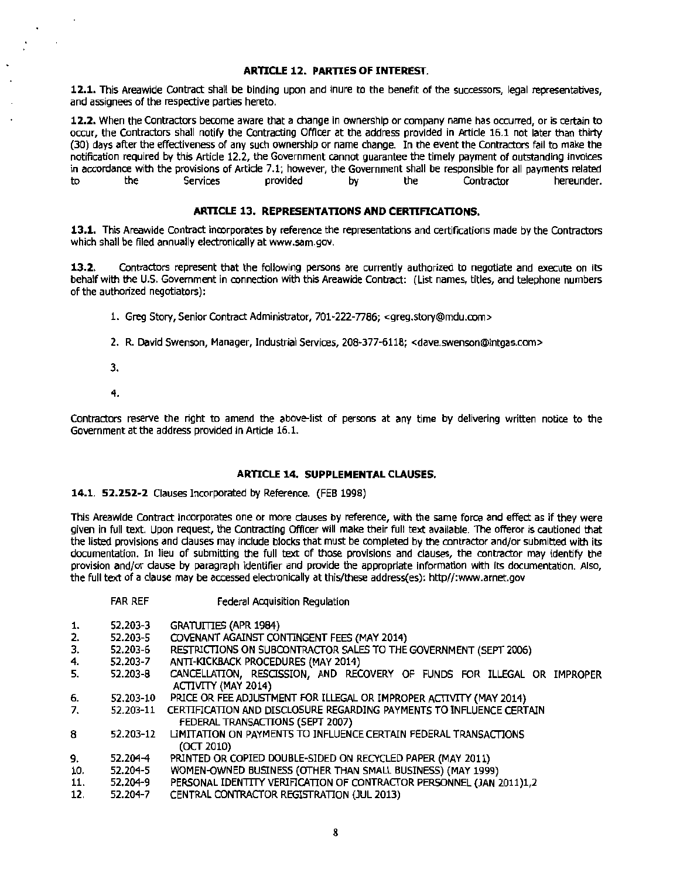#### **ARTICLE 12. PARTIES OF INTEREST.**

**12.1.** This Areawide Contract shall be binding upon and inure to the benefit of the successors, legal representatives, and assignees of the respective parties hereto.

**12.2.** When the Contractors become aware that a change In ownership or company name has occurred, or is certain to occur, the Contractors shall notify the Contracting Officer at the address provided in Article 16.1 not later than thirty (30) days after the effectiveness of any such ownership or name change. In the event the Contractors fail to make the notification required by this Article 12.2, the Government cannot guarantee the timely payment of outstanding invoices in accordance with the provisions of Article 7.1; however, the Government shall be responsible for all payments related<br>to the Services provided by the Contractor hereunder. to the Services provided by the Contractor hereunder.

#### **ARTICLE 13. REPRESENTATIONS AND CERTIFICATIONS.**

**13.1.** This Areawide Contract incorporates by reference the representations and certifications made by the Contractors which shall be filed annually electronically at www.sam.gov.

**13.2.** Contractors represent that the following persons are currently authorized to negotiate and execute on its behalf with the U.S. Government In connection with this Areawide Contract: (List names, titles, and telephone numbers of the authorized negotiators):

- 1. Greg Story, Senior Contract Administrator, 701-222-7786; <greg.story@mdu.com>
- 2. R. David Swenson, Manager, Industrial Services, 208-377-6118; <dave.swenson@intgas.com>
- 3.
- 4.

Contractors reserve the right to amend the above-list of persons at any time by delivering written notice to the Government at the address provided in Artide 16.1.

#### **ARTICLE 14. SUPPLEMENTAL CLAUSES.**

#### **14.1. 52.252-2** Clauses Incorporated by Reference. (FEB 1998)

FAR REF Federal Acquisition Regulation

This Areawide Contract incorporates one or more dauses by reference, with the same force and effect as if they were given in full text. Upon request, the Contracting Officer will make their full text available. The offeror is cautioned that the listed provisions and dauses may include blocks that must be completed by the contractor and/or submitted with its documentation. In lieu of submitting the full text of those provisions and clauses, the contractor may identify the provision and/or dause by paragraph identifier and provide the appropriate information with its documentation. Also, the full text of a clause may be accessed electronically at this/these address(es): http//:www.arnet.gov

| .         | reactor Acquisition Regulation                                          |
|-----------|-------------------------------------------------------------------------|
| 52,203-3  | <b>GRATUITIES (APR 1984)</b>                                            |
| 52.203-5  | COVENANT AGAINST CONTINGENT FEES (MAY 2014)                             |
| 52.203-6  | RESTRICTIONS ON SUBCONTRACTOR SALES TO THE GOVERNMENT (SEPT 2006)       |
| 52.203-7  | ANTI-KICKBACK PROCEDURES (MAY 2014)                                     |
| 52.203-8  | CANCELLATION, RESCISSION, AND RECOVERY OF FUNDS FOR ILLEGAL OR IMPROPER |
|           | ACTIVITY (MAY 2014)                                                     |
| 52.203-10 | PRICE OR FEE ADJUSTMENT FOR ILLEGAL OR IMPROPER ACTIVITY (MAY 2014)     |
| 52.203-11 | CERTIFICATION AND DISCLOSURE REGARDING PAYMENTS TO INFLUENCE CERTAIN    |
|           | FEDERAL TRANSACTIONS (SEPT 2007)                                        |
| 52.203-12 | LIMITATION ON PAYMENTS TO INFLUENCE CERTAIN FEDERAL TRANSACTIONS        |
|           | (OCT 2010)                                                              |
| 52.204-4  | PRINTED OR COPIED DOUBLE-SIDED ON RECYCLED PAPER (MAY 2011)             |
| 52.204-5  | WOMEN-OWNED BUSINESS (OTHER THAN SMALL BUSINESS) (MAY 1999)             |
| 52.204-9  | PERSONAL IDENTITY VERIFICATION OF CONTRACTOR PERSONNEL (JAN 2011)1,2    |
| 52.204-7  | CENTRAL CONTRACTOR REGISTRATION (JUL 2013)                              |
|           |                                                                         |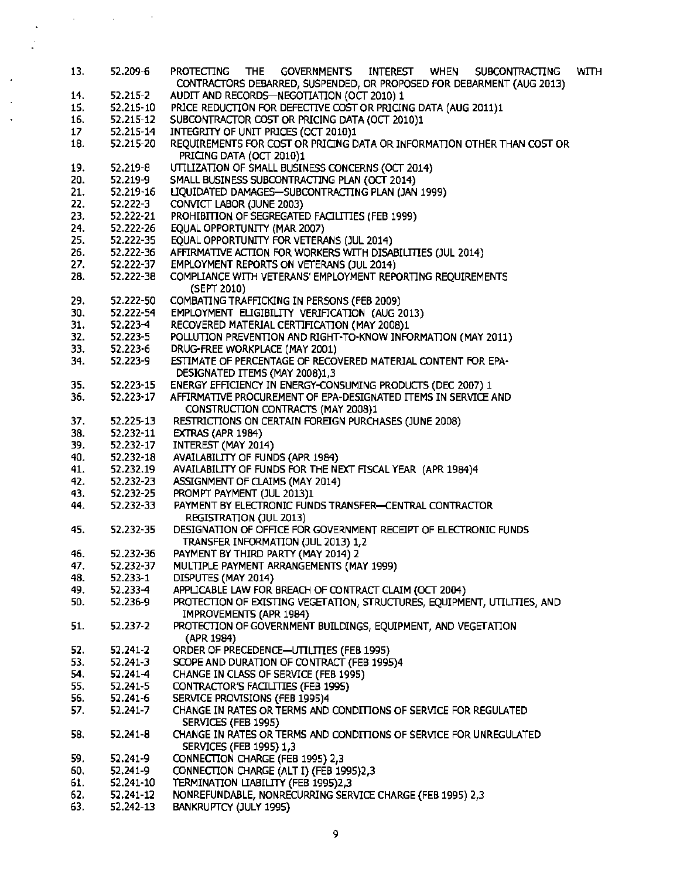| 13.             | 52.209-6     | <b>THE</b><br><b>GOVERNMENT'S</b><br><b>PROTECTING</b><br>INTEREST WHEN<br><b>SUBCONTRACTING</b><br>WITH<br>CONTRACTORS DEBARRED, SUSPENDED, OR PROPOSED FOR DEBARMENT (AUG 2013) |
|-----------------|--------------|-----------------------------------------------------------------------------------------------------------------------------------------------------------------------------------|
| 14.             | 52.215-2     | AUDIT AND RECORDS-NEGOTIATION (OCT 2010) 1                                                                                                                                        |
| 15.             | 52.215-10    | PRICE REDUCTION FOR DEFECTIVE COST OR PRICING DATA (AUG 2011)1                                                                                                                    |
| 16.             | 52.215-12    | SUBCONTRACTOR COST OR PRICING DATA (OCT 2010)1                                                                                                                                    |
| 17 <sub>1</sub> | 52.215-14    | INTEGRITY OF UNIT PRICES (OCT 2010)1                                                                                                                                              |
| 18.             | 52.215-20    | REQUIREMENTS FOR COST OR PRICING DATA OR INFORMATION OTHER THAN COST OR                                                                                                           |
|                 |              | PRICING DATA (OCT 2010)1                                                                                                                                                          |
| 19.             | $52.219 - 8$ | UTILIZATION OF SMALL BUSINESS CONCERNS (OCT 2014)                                                                                                                                 |
| 20.             | 52.219-9     | SMALL BUSINESS SUBCONTRACTING PLAN (OCT 2014)                                                                                                                                     |
| 21.             | 52.219-16    | LIQUIDATED DAMAGES-SUBCONTRACTING PLAN (JAN 1999)                                                                                                                                 |
| 22.             | 52.222-3     | CONVICT LABOR (JUNE 2003)                                                                                                                                                         |
| 23.             | 52.222-21    | PROHIBITION OF SEGREGATED FACILITIES (FEB 1999)                                                                                                                                   |
| 24.             | 52.222-26    | EQUAL OPPORTUNITY (MAR 2007)                                                                                                                                                      |
| 25.             | 52.222-35    | EQUAL OPPORTUNITY FOR VETERANS (JUL 2014)                                                                                                                                         |
| 26.             | 52.222-36    | AFFIRMATIVE ACTION FOR WORKERS WITH DISABILITIES (JUL 2014)                                                                                                                       |
| 27.             | 52.222-37    | <b>EMPLOYMENT REPORTS ON VETERANS (JUL 2014)</b>                                                                                                                                  |
| 28.             | 52.222-38    | COMPLIANCE WITH VETERANS' EMPLOYMENT REPORTING REQUIREMENTS<br>(SEPT 2010)                                                                                                        |
| 29.             | 52.222-50    | COMBATING TRAFFICKING IN PERSONS (FEB 2009)                                                                                                                                       |
| 30.             | 52.222-54    | EMPLOYMENT ELIGIBILITY VERIFICATION (AUG 2013)                                                                                                                                    |
| 31.             | 52.223-4     | RECOVERED MATERIAL CERTIFICATION (MAY 2008)1                                                                                                                                      |
| 32.             | 52.223-5     | POLLUTION PREVENTION AND RIGHT-TO-KNOW INFORMATION (MAY 2011)                                                                                                                     |
| 33.             | 52.223-6     | DRUG-FREE WORKPLACE (MAY 2001)                                                                                                                                                    |
| 34.             | 52.223-9     | ESTIMATE OF PERCENTAGE OF RECOVERED MATERIAL CONTENT FOR EPA-                                                                                                                     |
|                 |              | DESIGNATED ITEMS (MAY 2008)1,3                                                                                                                                                    |
| 35.             | 52.223-15    | ENERGY EFFICIENCY IN ENERGY-CONSUMING PRODUCTS (DEC 2007) 1                                                                                                                       |
| 36.             | 52.223-17    | AFFIRMATIVE PROCUREMENT OF EPA-DESIGNATED ITEMS IN SERVICE AND                                                                                                                    |
|                 |              | CONSTRUCTION CONTRACTS (MAY 2008)1                                                                                                                                                |
| 37.             | 52.225-13    | RESTRICTIONS ON CERTAIN FOREIGN PURCHASES (JUNE 2008)                                                                                                                             |
| 38.             | 52.232-11    | EXTRAS (APR 1984)                                                                                                                                                                 |
| 39.             | 52.232-17    | INTEREST (MAY 2014)                                                                                                                                                               |
| 40.             | 52.232-18    | AVAILABILITY OF FUNDS (APR 1984)                                                                                                                                                  |
| 41.             | 52.232.19    | AVAILABILITY OF FUNDS FOR THE NEXT FISCAL YEAR (APR 1984)4                                                                                                                        |
| 42.             | 52.232-23    | ASSIGNMENT OF CLAIMS (MAY 2014)                                                                                                                                                   |
| 43.             | 52.232-25    | PROMPT PAYMENT (JUL 2013)1                                                                                                                                                        |
| 44.             | 52.232-33    | PAYMENT BY ELECTRONIC FUNDS TRANSFER-CENTRAL CONTRACTOR                                                                                                                           |
|                 |              | REGISTRATION (JUL 2013)                                                                                                                                                           |
| 45.             | 52.232-35    | DESIGNATION OF OFFICE FOR GOVERNMENT RECEIPT OF ELECTRONIC FUNDS                                                                                                                  |
|                 |              | TRANSFER INFORMATION (JUL 2013) 1,2                                                                                                                                               |
| 46.             | 52.232-36    | PAYMENT BY THIRD PARTY (MAY 2014) 2                                                                                                                                               |
| 47.             | 52.232-37    | MULTIPLE PAYMENT ARRANGEMENTS (MAY 1999)                                                                                                                                          |
| 48.             | 52.233-1     | DISPUTES (MAY 2014)                                                                                                                                                               |
| 49.             | 52.233-4     | APPLICABLE LAW FOR BREACH OF CONTRACT CLAIM (OCT 2004)                                                                                                                            |
| 50.             | 52.236-9     | PROTECTION OF EXISTING VEGETATION, STRUCTURES, EQUIPMENT, UTILITIES, AND                                                                                                          |
|                 |              | IMPROVEMENTS (APR 1984)                                                                                                                                                           |
| 51.             | 52.237-2     | PROTECTION OF GOVERNMENT BUILDINGS, EQUIPMENT, AND VEGETATION                                                                                                                     |
|                 |              | (APR 1984)                                                                                                                                                                        |
| 52.             | 52.241-2     | ORDER OF PRECEDENCE-UTILITIES (FEB 1995)                                                                                                                                          |
| 53.             | 52.241-3     | SCOPE AND DURATION OF CONTRACT (FEB 1995)4                                                                                                                                        |
| 54.             | 52.241-4     | CHANGE IN CLASS OF SERVICE (FEB 1995)                                                                                                                                             |
| 55.             | 52.241-5     | CONTRACTOR'S FACILITIES (FEB 1995)                                                                                                                                                |
| 56.             | 52.241-6     | SERVICE PROVISIONS (FEB 1995)4                                                                                                                                                    |
| 57.             | 52.241-7     | CHANGE IN RATES OR TERMS AND CONDITIONS OF SERVICE FOR REGULATED<br>SERVICES (FEB 1995)                                                                                           |
| 58.             | 52.241-8     | CHANGE IN RATES OR TERMS AND CONDITIONS OF SERVICE FOR UNREGULATED<br>SERVICES (FEB 1995) 1,3                                                                                     |
| 59.             | 52.241-9     | CONNECTION CHARGE (FEB 1995) 2,3                                                                                                                                                  |
| 60.             | 52.241-9     | CONNECTION CHARGE (ALT I) (FEB 1995)2,3                                                                                                                                           |
| 61.             | 52.241-10    | TERMINATION LIABILITY (FEB 1995)2,3                                                                                                                                               |
| 62.             | 52.241-12    | NONREFUNDABLE, NONRECURRING SERVICE CHARGE (FEB 1995) 2,3                                                                                                                         |
| 63.             | 52.242-13    | BANKRUPTCY (JULY 1995)                                                                                                                                                            |
|                 |              |                                                                                                                                                                                   |

 $\ddot{\phantom{0}}$ l.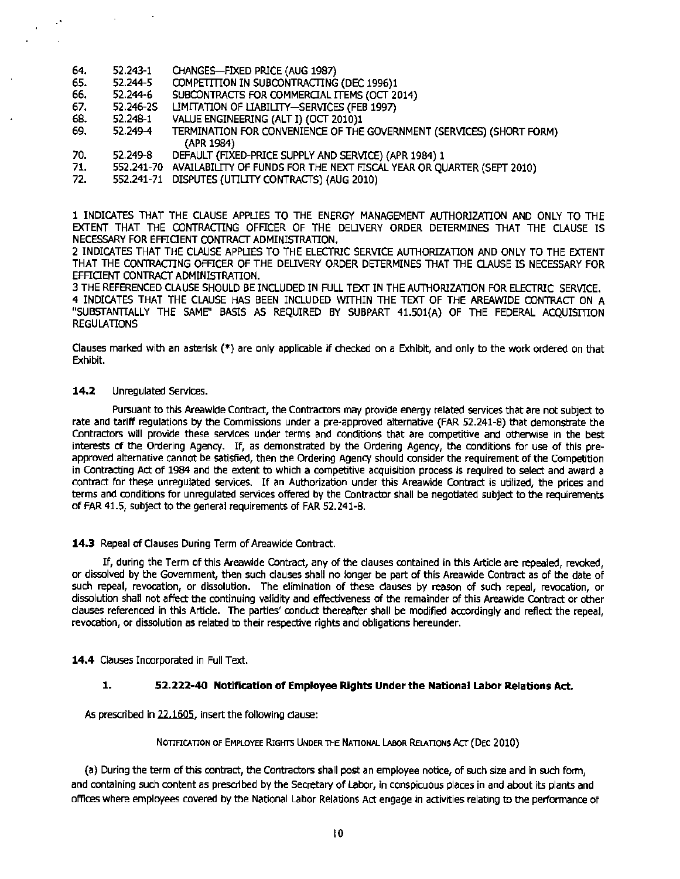- 64. 52.243-1 CHANGES-FIXED PRICE {AUG 1987)
- 65. 52.244-5 COMPETITION IN SUBCONTRACTING (DEC 1996)1<br>66. 52.244-6 SUBCONTRACTS FOR COMMERCIAL ITEMS (OCT 20
- 66. 52.244-6 SUBCONTRACTS FOR COMMERCIAL ITEMS (OCT 2014)<br>67. 52.246-25 LIMITATION OF LIABILITY—SERVICES (FEB 1997)
- 67. 52.246-25 LIMITATION OF LIABILITY-SERVICES (FEB 1997)<br>68. 52.248-1 VALUE ENGINEERING (ALT I) (OCT 2010)1
- 68. 52.248-1 VALUE ENGINEERING (ALT I) (OCT 2010)1
- TERMINATION FOR CONVENIENCE OF THE GOVERNMENT (SERVICES) (SHORT FORM) (APR 1984)
- 70. 52.249-8 DEFAULT (FIXED-PRICE SUPPLY AND SERVICE) (APR 1984) 1
- 71. 552.241-70 AVAILABILITY Of FUNDS FOR THE NEXT FISCAL YEAR OR QUARTER (SEPT 2010)
- 72. 552.241-71 DISPUTES (UTILITY CONTRACTS) (AUG 2010)

1 INDICATES THAT THE CLAUSE APPLIES TO THE ENERGY MANAGEMENT AUTHORIZATION AND ONLY TO THE EXTENT THAT THE CONTRACTING OFFICER OF THE DELIVERY ORDER DETERMINES THAT THE CLAUSE IS NECESSARY FOR EFFIOENT CONTRACT ADMINISTRATION.

2 INDICATES THAT THE CLAUSE APPLIES TO THE ELECTRIC SERVICE AUTHORIZATION AND ONLY TO THE EXTENT THAT THE CONTRACTING OFFICER OF THE DELIVERY ORDER DETERMINES THAT THE CLAUSE IS NECESSARY FOR EFFICENT CONTRACT ADMINISTRATION.

3THE REFERENCED CLAUSE SHOULD BE INCLUDED IN FULL TEXT IN THE AUTHORIZATION FOR ELECTRIC SERVICE.

4 INDICATES THAT THE CLAUSE HAS BEEN INCLUDED WITHIN THE TEXT OF THE AREAWIDE CONTRACT ON A "SUBSTANTIALLY THE SAME'' BASIS AS REQUIRED BY SUBPART 41.501(A) OF THE FEDERAL ACQUISffiON **REGULATIONS** 

Clauses marked with an asterisk (\*) are only applicable if checked on a Exhibit, and only to the work ordered on that Exhibit.

#### 14.2 Unregulated Services.

Pursuant to this Areawide Contract, the Contractors may provide energy related services that are not subject to rate and tariff regulations by the Commissions under a pre-approved alternative (FAR 52.241-8) that demonstrate the Contractors will provide these services under terms and conditions that are competitive and otherwise in the best interests of the Ordering Agency. If, as demonstrated by the Ordering Agency, the conditions for use of this preapproved alternative cannot be satisfied, then the Ordering Agency should consider the requirement of the Competition in Contracting Act of 1984 and the extent to which a competitive acquisition process is required to select and award a contract for these unregulated services. If an Authorization under this Areawide Contract is utilized, the prices and terms and conditions for unregulated services offered by the Contractor shall be negotiated subject to the requirements of FAR 41.5, subject to the general requirements of FAR 52.241-8.

#### 14.3 Repeal of Clauses During Term of Areawide Contract.

If, during the Term of this Areawide Contract, any of the clauses contained in this Article are repealed, revoked, or dissolved by the Government, then such clauses shall no longer be part of this Areawide Contract as of the date of such repeal, revocation, or dissolution. The elimination of these dauses by reason of such repeal, revocation, or dissolution shall not affect the continuing validity and effectiveness of the remainder of this Areawide Contract or other clauses referenced in this Article. The parties' conduct thereafter shall be modified accordingly and reflect the repeal, revocation, or dissolution as related to their respective rights and obligations hereunder.

14.4 Clauses Incorporated in Full Text.

#### 1. 52.222-40 Notification of Employee Rights Under the National Labor Relations Act.

As prescribed in 22.1605, insert the following dause:

#### NOTIFICATION OF EMPLOYEE RIGHTS UNDER THE NATIONAL LABOR RELATIONS ACT (DEC 2010)

(a) During the term of this contract, the Contractors shall post an employee notice, of such size and in such form, and containing such content as prescribed by the Secretary of Labor, in conspicuous places in and about its plants and offices where employees covered by the National Labor Relations Act engage in activities relating to the performance of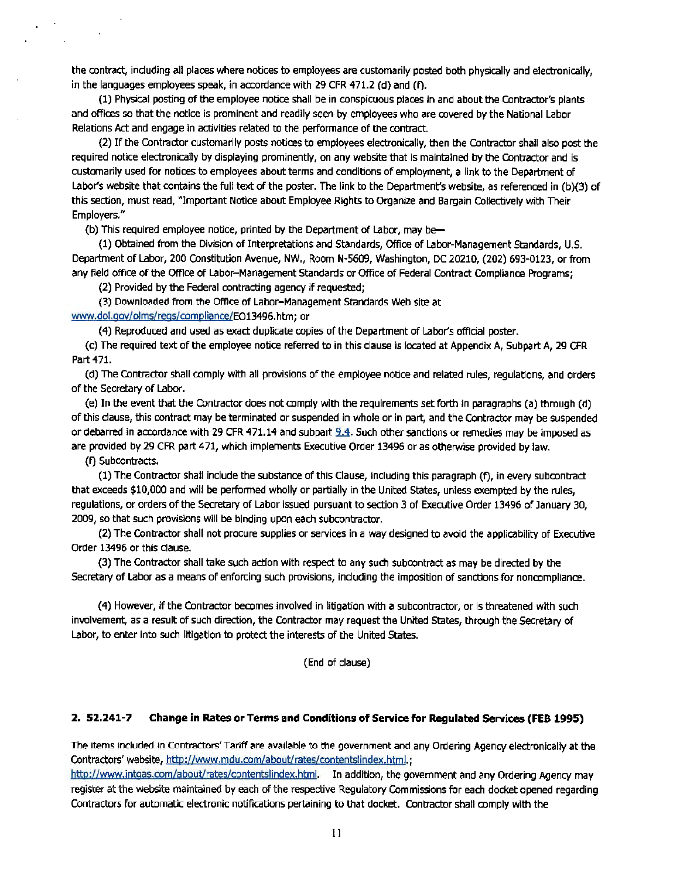the contract, induding all places where notices to employees are customarily posted both physically and electronically, in the languages employees speak, in accordance with 29 CFR 471.2 (d) and (f).

(1) Physical posting of the employee notice shall be in conspicuous places in and about the Contractor's plants and offices so that the notice is prominent and readily seen by employees who are covered by the National Labor Relations Act and engage in activities related to the performance of the contract.

(2) Ifthe Contractor customarily posts notices to employees electronically, then the Contractor shall also post the required notice electronically by displaying prominently, on any website that is maintained by the Contractor and is customarily used for notices to employees about terms and conditions of employment, a link to the Department of Labor's website that contains the full text of the poster. The link to the Department's website, as referenced in (b)(3) of this section, must read, "Important Notice about Employee Rights to Organize and Bargain Collectively with Their Employers."

(b) This required employee notice, printed by the Department of Labor, may be

(1) Obtained from the Division of Interpretations and Standards, Office of Labor-Management Standards, U.S. Department of Labor, 200 Constitution Avenue, NW., Room N-5609, Washington, DC 20210, (202) 693-0123, or from any field office of the Office of Labor-Management Standards or Office of Federal Contract Compliance Programs;

(2) Provided by the Federal contracting agency if requested;

(3) Downloaded from the Office of Labor-Management Standards Web site at www.dol.goy/olms/reas/compliance/E013496.hbn; or

(4) Reproduced and used as exact duplicate copies of the Department of Labor's official poster.

(c) The required text of the employee notice referred to in this clause is located at Appendix A, Subpart A, 29 CFR Part 471.

(d) The Contractor shall comply with all provisions of the employee notice and related rules, regulations, and orders ofthe Secretary of Labor.

(e) In the event that the Contractor does not comply with the requirements set forth in paragraphs (a) through (d) ofthis dause, this contract may be terminated or suspended in whole or in part, and the Contractor may be suspended or debarred in accordance with 29 CFR 471.14 and subpart  $9.4$ . Such other sanctions or remedies may be imposed as are provided by 29 CFR part 471, which implements Executive Order 13496 or as otherwise provided by law.

(f) Subcontracts.

(1) The Contractor shall include the substance of this Clause, including this paragraph (f), in every subcontract that exceeds \$10,000 and will be performed wholly or partially in the United States, unless exempted by the rules, regulations, or orders of the Secretary of Labor issued pursuant to section 3 of Executive Order 13496 of January 30, 2009, so that such provisions will be binding upon each subcontractor.

(2) The Contractor shall not procure supplies or services in a way designed to avoid the applicability of Executive Order 13496 or this clause.

(3) The Contractor shall take such action with respect to any such subcontract as may be directed by the Secretary of Labor as a means of enforcing such provisions, including the Imposition of sanctions for noncompliance.

(4) However, if the Contractor becomes involved in litigation with a subcontractor, or is threatened with such involvement, as a result of such direction, the Contractor may request the United States, through the Secretary of Labor, to enter into such litigation to protect the interests of the United States.

(End of clause)

#### 2. 52.241-7 Change in Rates or Terms and Conditions of Service for Regulated Services (FEB 1995)

The items included in Contractors' Tariff are available to the government and any Ordering Agency electronically at the Contractors' website, http://www.mdu.com/about/rates/contentslindex.html.;

http://www.intgas.com/about/rates/contentslindex.html. In addition, the government and any Ordering Agency may register at the website maintained by each of the respective Regulatory Commissions for each docket opened regarding Contractors for automatic electronic notifications pertaining to that docket. Contractor shall comply with the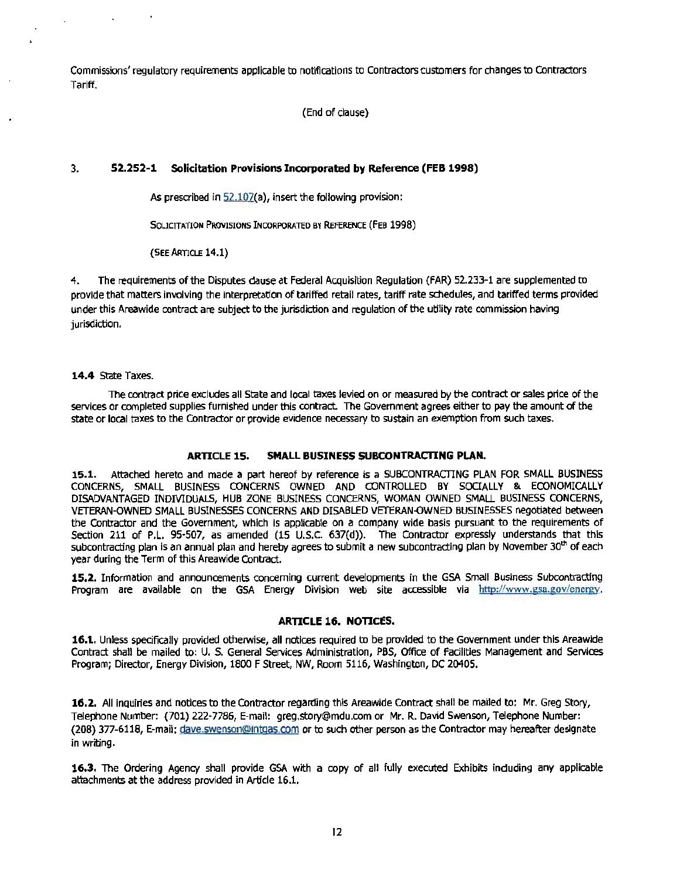Commissions' regulatory requirements applicable to notifications to Contractors customers for changes to Contractors Tariff.

(End of clause)

#### 3. **52..252-1 Solicitation Provisions Incorporated by Reference (FEB 1998)**

As prescribed in 52.107(a), insert the following provision:

SOLICITATION PROVISIONS INCORPORATED BY REFERENCE (FEB 1998)

(SEE ARTICLE 14.1)

4. The requirements of the Disputes dause at Federal Acquisition Regulation {FAR) 52.233-1 are supplemented to provide that matters involving the interpretation of tariffed retail rates, tariff rate schedules, and tariffed terms provided under this Areawide contract are subject to the jurisdiction and regulation of the utility rate commission having jurisdiction.

#### **14.4** State Taxes.

 $\cdot$ 

The contract price excludes all State and local taxes levied on or measured by the contract or sales price of the services or completed supplies furnished under this contract. The Government agrees either to pay the amount of the state or local taxes to the Contractor or provide evidence necessary to sustain an exemption from such taxes.

#### **ARTICLE 15. SMALL BUSINESS SUBCONTRACilNG PLAN.**

**15.1.** Attached hereto and made a part hereof by reference is a SUBCONTRACTING PLAN FOR SMALL BUSINESS CONCERNS, SMALL BUSINESS CONCERNS OWNED AND CONTROLLED BY SOCIALLY & ECONOMICALLY DISADVANTAGED INDMDUAl5, HUB ZONE BUSINESS CONCERNS, WOMAN OWNED SMALL BUSINESS CONCERNS, VETERAN-OWNED SMALL BUSINESSES CONCERNS AND DISABLED VETERAN-OWNED BUSINESSES negotiated between the Contractor and the Government, which is applicable on a company wide basis pursuant to the requirements of Section 211 of P.L. 95-507, as amended (15 U.S.C. 637{d)). The Contractor expressly understands that this subcontracting plan is an annual plan and hereby agrees to submit a new subcontracting plan by November 30<sup>th</sup> of each year during the Term of this Areawide Contract.

**15.2.** Information and announcements concerning current developments in the GSA Small Business Subcontracting Program are available on the GSA Energy Division web site accessible via http://www.gsa.gov/energy.

#### **ARTICLE 16. NOTICES.**

**16.1.** Unless specifically provided otherwise, all notices required to be provided to the Government under this Areawide Contract shall be mailed to: U. S. General Services Administration, PBS, Office of Facilities Management and Services Program; Director, Energy Division, 1800 FStreet, NW, Room 5116, Washington, DC 20405.

**16.2.** All inquiries and notices to the Contractor regarding this Areawide Contract shall be mailed to: Mr. Greg Story, Telephone Number: (701) 222-7786, E-mail: greg.story@mdu.com or Mr. R. David Swenson, Telephone Number: {208) 377-6118, E-mail: dave.swenson@intQas.com or to such other person as the Contractor may hereafter designate in writing.

**16.3.** The Ordering Agency shall provide GSA with a copy of all fully executed Exhibits induding any applicable attachments at the address provided in Article 16.1.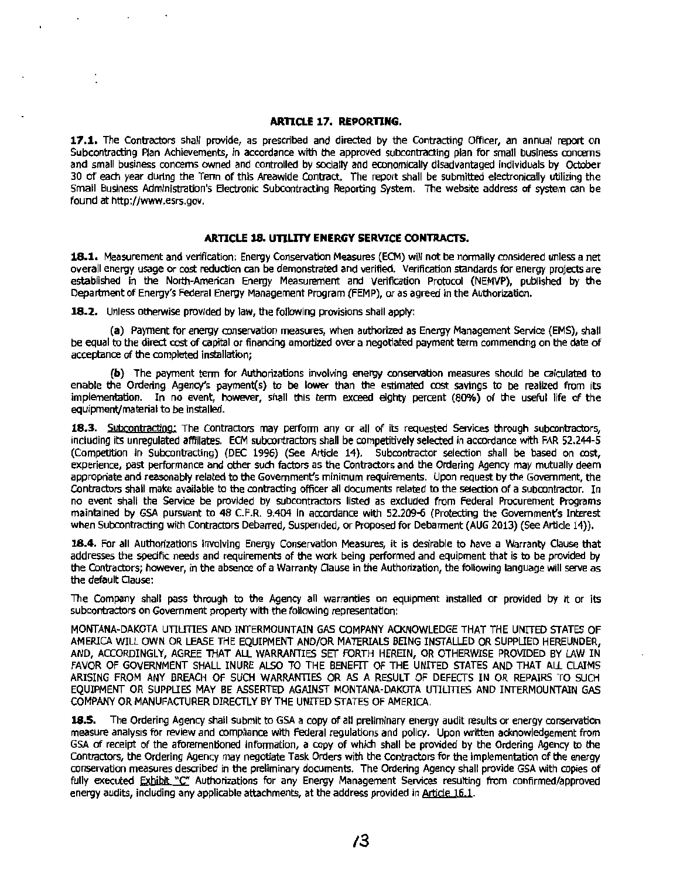#### **ARTICLE 17. REPORTING.**

**17.1.** The Contractors shall provide, as prescribed and directed by the Contracting Officer, an annual report on Subcontracting Plan Achievements, in accordance with the approved subcontracting plan for small business concerns and small business concerns owned and controlled by socially and economically disadvantaged individuals by October 30 of each year during the Term of this Areawide Contract. The report shall be submitted electronically utilizing the Small Business Administration's Electronic Subcontracting Reporting System. The website address of system can be found at http://www.esrs.gov.

#### **ARTICLE 18. UTILITY ENERGY SERVICE CONTRACTS.**

18.1. Measurement and verification: Energy Conservation Measures (ECM) will not be normally considered unless a net overall energy usage or cost reduction can be demonstrated and verified. Verification standards for energy projects are established In the North-American Energy Measurement and Verification Protocol (NEMVP), published by the Department of Energy's Federal Energy Management Program (FEMP), or as agreed in the Authorization.

**18.2.** Unless otherwise provided by law, the following provisions shall apply:

**(a)** Payment for energy conservation measures, when authorized as Energy Management Service (EMS), shall be equal to the direct cost of capital or financing amortized over a negotiated payment term commencing on the date of acceptance of the completed installation;

**(b)** The payment term for Authorizations involving energy conservation measures should be calculated to enable the Ordering Agency's payment(s) to be lower than the estimated cost savings to be realized from its implementation. In no event, however, shall this term exceed eighty percent (80%) of the useful life of the equipment/material to be installed.

**18.3.** Subcontracting: The Contractors may perform any or all of its requested Services through subcontractors, including its unregulated affiliates. ECM subcontractors shall be competitively selected in accordance with FAR 52.244-5 (Competition in Subcontracting) (DEC 1996) (See Artide 14). Subcontractor selection shall be based on cost, experience, past performance and other such factors as the Contractors and the Ordering Agency may mutually deem appropriate and reasonably related to the Government's minimum requirements. Upon request by the Government, the Contractors shall make available to the contracting officer all documents related to the selection of a subcontractor. In no event shall the Service be provided by subcontractors listed as excluded from Federal Procurement Programs maintained by GSA pursuant to 48 C.F.R. 9.404 in accordance with 52.209-6 (Protecting the Government's Interest when Subcontracting with Contractors Debarred, Suspended, or Proposed for Debarment (AUG 2013) (See Article 14)).

**18.4.** For all Authorizations involving Energy Conservation Measures, it is desirable to have a Warranty Clause that addresses the specific needs and requirements of the work being performed and equipment that is to be provided by the Contractors; however, In the absence of a Warranty Oause In the Authorization, the following language will serve as the default Oause:

The Company shall pass through to the Agency all warranties on equipment installed or provided by it or its subcontractors on Government property with the following representation:

MONTANA-DAKOTA UTillTIES AND INTERMOUNTAIN GAS COMPANY ACKNOWLEDGE THAT THE UNITED STATES OF AMERICA WILL OWN OR LEASE THE EQUIPMENT AND/OR MATERIALS BEING INSTALLED OR SUPPLIED HEREUNDER, AND, ACCORDINGLY, AGREE THAT ALL WARRANTIES SET FORTH HEREIN, OR OTHERWISE PROVIDED BY LAW IN FAVOR OF GOVERNMENT SHALL INURE ALSO TO THE BENEFIT OF THE UNITED STATES AND THAT ALL CLAIMS ARISING FROM ANY BREACH Of SUCH WARRANTIES OR *AS* A RESULT OF DEFECTS IN OR REPAIRS TO SUCH EQUIPMENT OR SUPPLIES MAY BE ASSERTED AGAINST MONTANA-DAKOTA UTIUTIES AND INTERMOUNTAIN GAS COMPANY OR MANUFACTURER DIRECTLY BY THE UNITED STATES OF AMERICA.

**18.5.** The Ordering Agency shall submit to GSA a copy of all preliminary energy audit results or energy conservation measure analysis for review and compliance with federal regulations and policy. Upon written acknowledgement from GSA of receipt of the aforementioned information, a copy of which shall be provided by the Ordering Agency to the Contractors, the Ordering Agency may negotiate Task Orders with the Contractors for the implementation of the energy conservation measures described in the preliminary documents. The Ordering Agency shall provide GSA with copies of fully executed Exhibit "C" Authorizations for any Energy Management Services resulting from confirmed/approved energy audits, including any applicable attachments, at the address provided in Artide 16.1.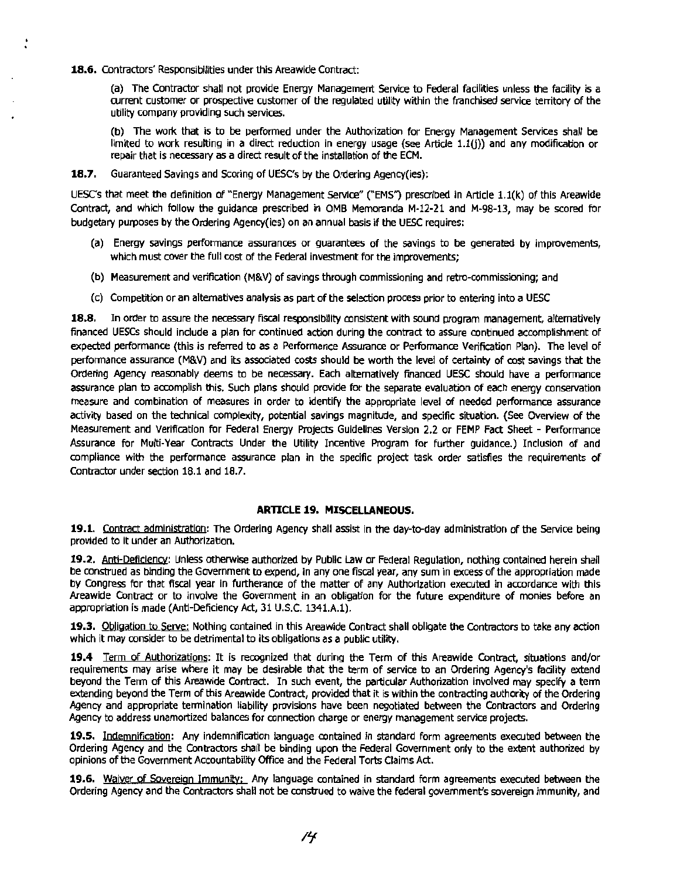**18.6.** Contractors' Responsibilities under this Areawide Contract:

(a) The Contractor shall not provide Energy Management Service to Federal facilities unless the facility is a current customer or prospective customer of the regulated utility within the franchised service territory of the utility company providing such services.

(b) The work that is to be performed under the Authorization for Energy Management Services shall be limited to work resulting in a direct reduction in energy usage (see Article 1.1(j)) and any modification or repair that is necessary as a direct result of the installation of the ECM.

**18.7.** Guaranteed Savings and Scoring of UESC's by the Ordering Agency(ies):

UESC's that meet the definition of "Energy Management Service" ("EMS") prescribed in Article 1.1(k) of this Areawide Contract, and which follow the guidance prescribed in OMB Memoranda M-12-21 and M-98-13, may be scored for budgetary purposes by the Ordering Agency(les) on an annual basis if the UESC requires:

- (a) Energy savings performance assurances or guarantees of the savings to be generated by improvements, which must cover the full cost of the Federal investment for the improvements:
- (b) Measurement and verification (M&V) of savings through commissioning and retro-commissioning; and
- (c) Competition or an alternatives analysis as part of the selection process prior to entering into a UESC

**18.8.** In order to assure the necessary fiscal responsibility consistent with sound program management, alternatively financed UESCs should include a plan for continued action during the contract to assure continued accomptishment of expected performance (this is referred to as a Performance Assurance or Performance Verification Plan). The level of performance assurance (M&V) and its associated costs should be worth the level of certainty of cost savings that the Ordering Agency reasonably deems to be necessary. Each alternatively financed UESC should have a perfonnance assurance plan to accomplish this. Such plans should provide for the separate evaluation of each energy conservation measure and combination of measures in order to identify the appropriate level of needed performance assurance activity based on the technical complexity, potential savings magnitude, and specific situation. (See Overview of the Measurement and Verification for Federal Energy Projects Guidelines Version 2.2 or FEMP Fact Sheet - Performance Assurance for Multi-Year Contracts Under the Utility Incentive Program for further guidance.) Inclusion of and compliance with the performance assurance plan in the specific project task order satisfies the requirements of Contractor under section 18.1 and 18.7.

#### **ARTICLE 19. MISCELLANEOUS.**

**19.1.** Contract administration: The Ordering Agency shall assist In the day-to-day administration of the Service being provided to it under an Authorization.

**19.2.** Anti-Deficiency: Unless otherwise authorized by Public Law or Federal Regulation, nothing contained herein shall be construed as binding the Government to expend, in any one fiscal year, any sum in excess of the appropriation made by Congress for that fiscal year in furtherance of the matter of any Authorization executed in accordance with this Areawide Contract or to involve the Government in an obligation for the future expenditure of monies before an appropriation is made (Anti-Deficiency Act, 31 U.S.C. 1341.A.1).

**19.3.** Obligation to Serve: Nothing contained in this Areawide Contract shall obligate the Contractors to take any action which it may consider to be detrimental to its obligations as a public utility.

**19.4** Term of Authorizations: It is recognized that during the Term of this Areawide Contract, situations and/or requirements may arise where it may be desirable that the term of service to an Ordering Agency's facility extend beyond the Term of this Areawide Contract. In such event, the particular Authorization Involved may specify a term extending beyond the Term of this Areawide Contract, provided that it is within the contracting authority of the Ordering Agency and appropriate termination liability provisions have been negotiated between the Contractors and Ordering Agency to address unamortized balances for connection charge or energy management service projects.

**19.S.** Indemnification: Any indemnification language contained In standard form agreements executed between the Ordering Agency and the Contractors shall be binding upon the Federal Government onty to the extent authorized by opinions of the Government Accountability Office and the Federal Torts Claims Act.

**19.6.** Waiver of Sovereign Immunity: Any language contained in standard form agreements executed between the Ordering Agency and the Contractors shall not be construed to waive the federal government's sovereign immunity, and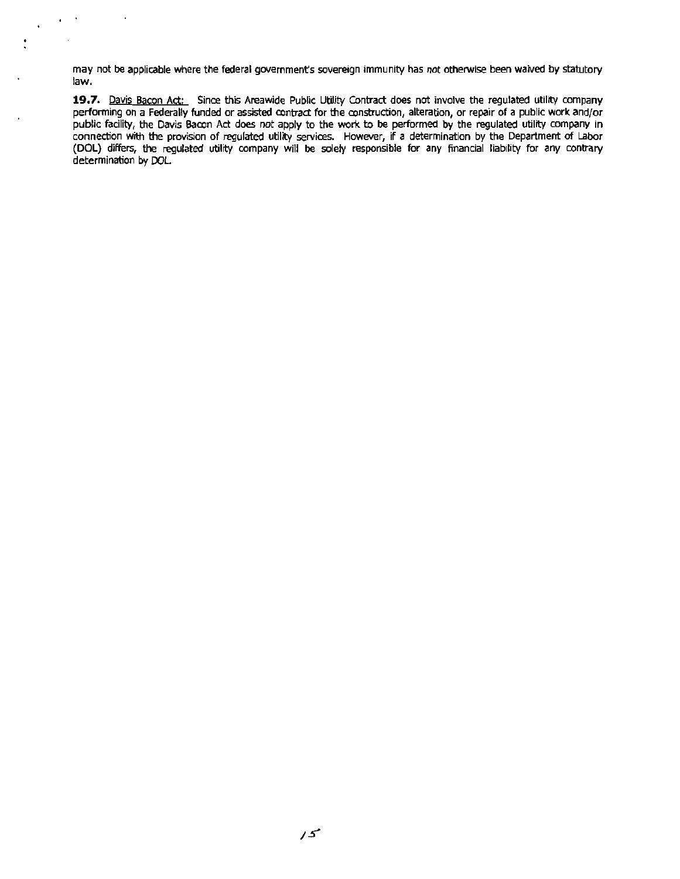may not be applicable where the federal government's sovereign immunity has not otherwise been waived by statutory law.

..

 $\sim$ 

19.7. Davis Bacon Act: Since this Areawide Public Utility Contract does not involve the regulated utility company performing on a Federally funded or assisted contract for the construction, alteration, or repair of a public work and/or public facility, the Davis Bacon Act does not apply to the work to be performed by the regulated utility company in connection with the provision of regulated utility services. However, if a determination by the Department of Labor (OOL) differs, the regulated utility company will be solely responsible for any financial liability for any contrary determination by DOL.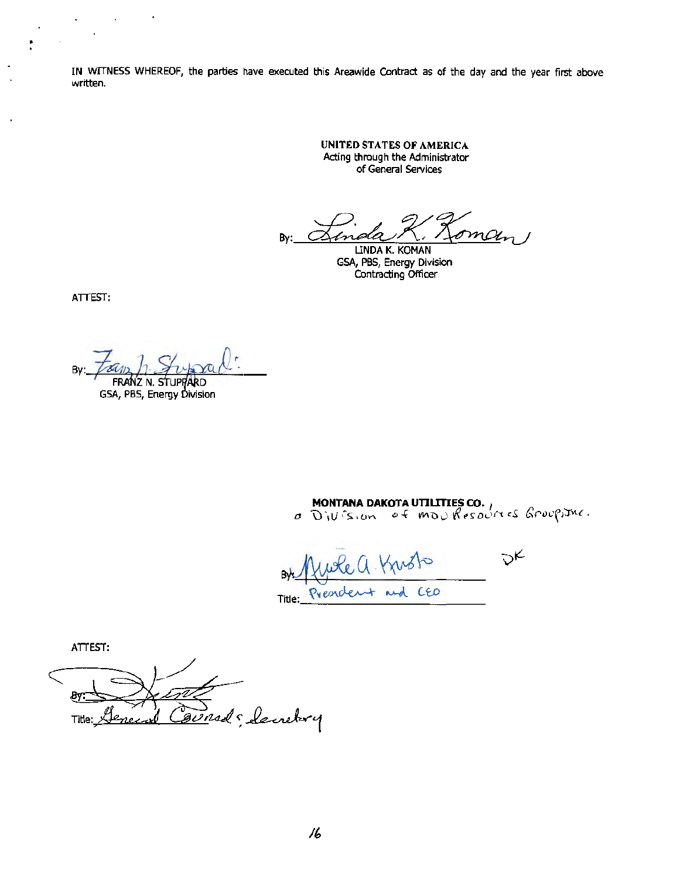IN WITNESS WHEREOF, the parties have executed this Areawide Contract as of the day and the year first above written.

> UNITED STATES OF AMERICA Acting through the Administrator of General Services

By:  $\frac{1}{\frac{1}{2}}$  Employer Koman

 GSA, PBS, Energy Division Contracting Officer

ATTEST:

 $\n By: \n  $\overline{?301/2} / ? \overline{?} \overline{?} \overline{?} \overline{?} \overline{?} \overline{?} \overline{?} \overline{?} \overline{?} \overline{?} \overline{?} \overline{?} \overline{?} \overline{?} \overline{?} \overline{?} \overline{?} \overline{?} \overline{?} \overline{?} \overline{?} \overline{?} \overline{?} \overline{?} \overline{?} \overline{?} \overline{?} \overline{?} \overline{?} \overline{?} \overline{?} \overline{?} \overline{?}$$ 

 $\cdot$ 

 $\sim 10^{-10}$ 

ÿ

**MONTANA DAKOTA UTILITIES CO.** ,<br>a Division of movines ones Groupstuc.

 $D_{K}$ Kusto + and CEO Presiden Title:

ATTEST:

By: Bursd Seinetury Genez Title: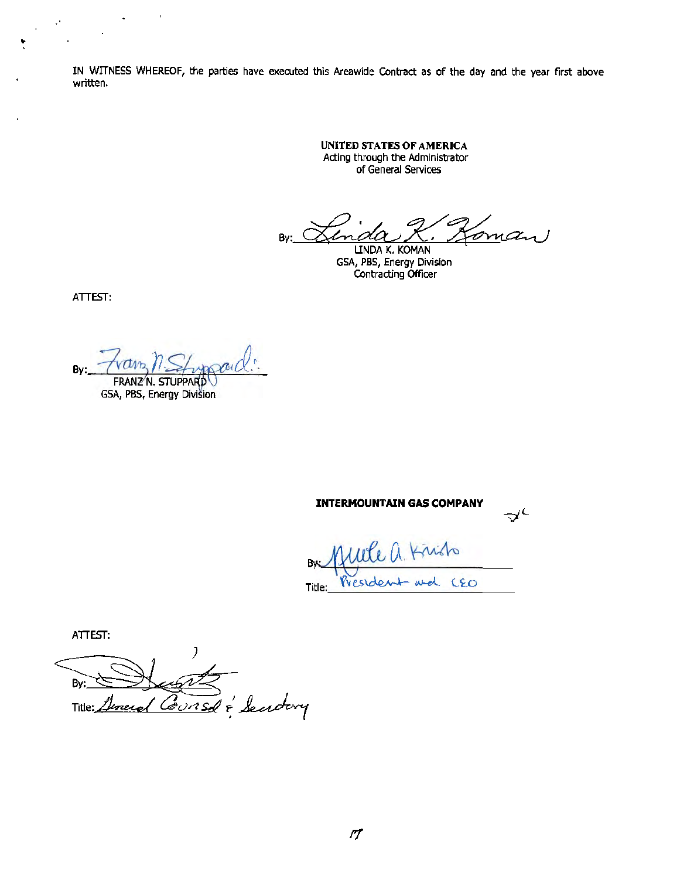IN WITNESS WHEREOF, the parties have executed this Areawide Contract as of the day and the year first above written.

> UNITED STATES OF AMERICA Acting through the Administrator of General Services

By: <u>Linda R. Roman</u>

Contracting Officer

ATTEST:

• '

 $Bv:$ FRANZ N. STUPPARD

GSA, PBS, Energy Division

 $\Delta \phi = 0.01$ 

 $\ddot{\phantom{a}}$ 

**INTERMOUNTAIN GAS COMPANY**   $20.1$  Kindo By President and CEO

ATIEST:

By: Consd & Sendary Title: <u>uneres</u>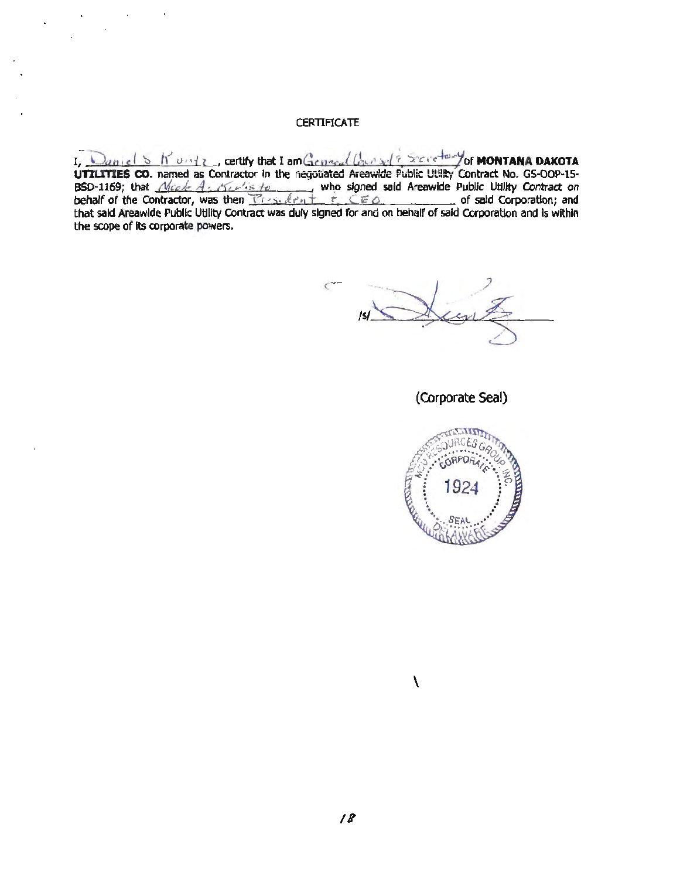#### **CERTIFICATE**

Daniel S K unte, certify that I am General Caunsel<sup>2</sup> Secretary of **MONTANA DAKOTA** UTILITIES CO. named as Contractor In the negotiated Areawide Public Utility Contract No. GS-OOP-15-BSD-1169; that  $\frac{\mathcal{N}_{i\in\mathcal{L}}}{\mathcal{N}_{i\in\mathcal{L}}}\times\mathcal{N}_{i\in\mathcal{L}}$  who signed said Areawide Public Utility Contract on behalf of the Contractor, was then  $T_{\ell-1}$ ,  $d_{\ell-1}$  +  $r_{\ell}$ , CEO **in the Contractor** and that said Areawide Public Utility Contract was duly signed for and on behalf of said Corporation and Is within the scope of its corporate powers.

 $\epsilon$ 

(Corporate Seal)



\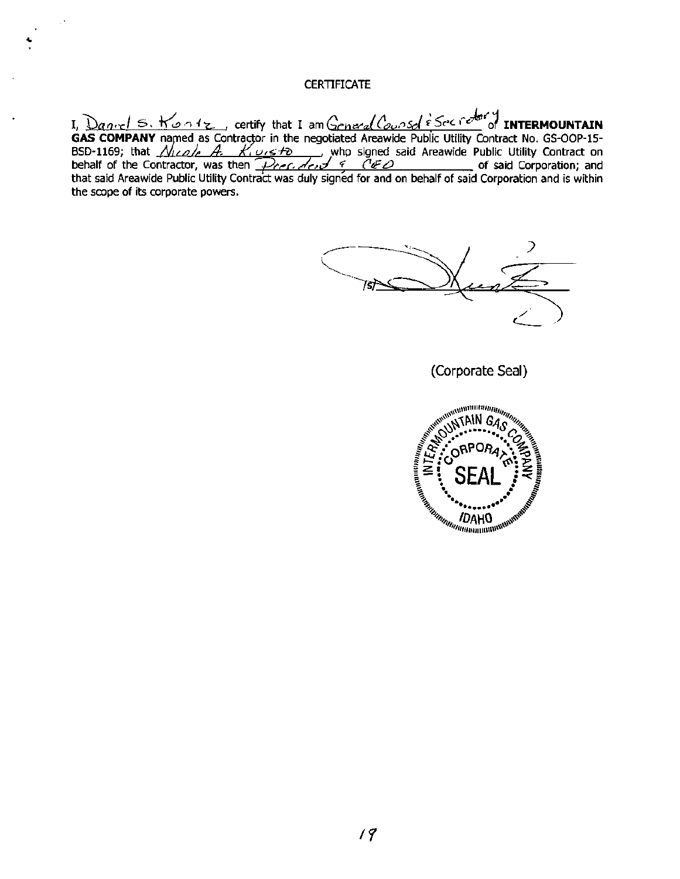#### **CERTIFICATE**

I, *Daniel* S. Kontz, certify that I am General Counsel *Secretor* of **INTERMOUNTAIN** GAS COMPANY named as Contractor in the negotiated Areawide Public Utility Contract No. GS-OOP-15-BSD-1169; that  $\frac{\mathcal{N}_{\mathcal{U}}}{\mathcal{L}_{\mathcal{U}}}\mathcal{A}_{\mathcal{U}}$   $\frac{\mathcal{N}_{\mathcal{U}}}{\mathcal{N}_{\mathcal{U}}}\mathcal{A}_{\mathcal{U}}$  who signed said Areawide Public Utility Contract on behalf of the Contractor, was then  $\overline{Pref. dest} \in \overline{C} \neq$   $\overline{C} \neq 0$  of said Corporation; and that said Areawide Public Utility Contract was duly signed for and on behalf of said Corporation and is within the scope of its corporate powers.

**(Corporate Seal)** 

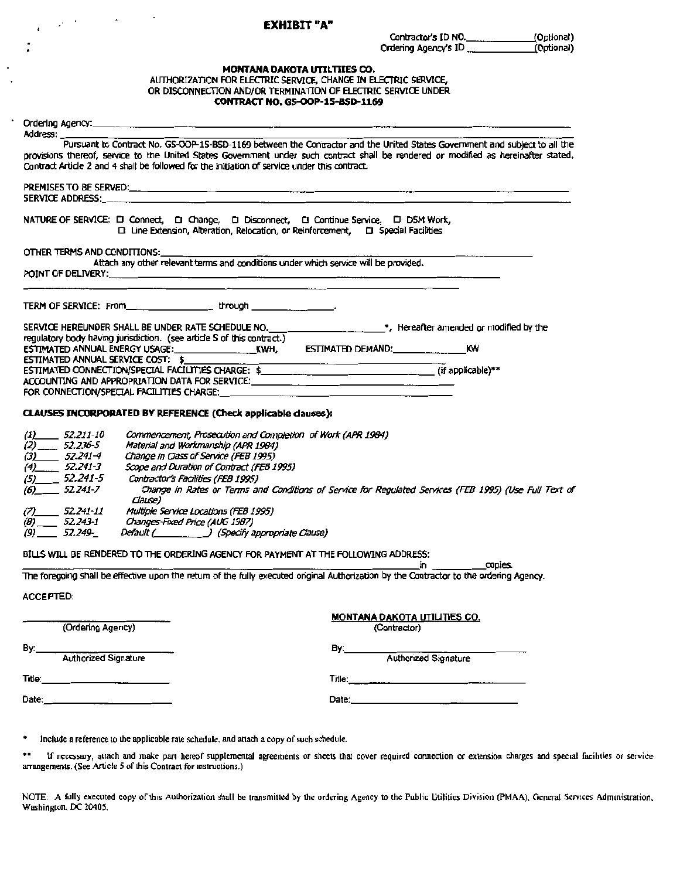## <sup>r</sup>. EXHIBIT "A"

 $\epsilon$  $\ddot{\phantom{0}}$ 

#### MONTANA DAKOTA UTILTIIES CO.

#### AUTHORIZATION FOR ELECTRIC SERVICE, CHANGE IN ELECTRIC SERVICE, OR DISCONNECTION AND/OR TERMINATION OF ELECTRIC SERVICE UNDER CONTRACT NO. GS-OOP-15-8\$0-1169

|                                                                                                                                                                                                                                                                                                                                                                              | Pursuant to Contract No. GS-OOP-1S-BSD-1169 between the Contractor and the United States Government and subject to all the              |
|------------------------------------------------------------------------------------------------------------------------------------------------------------------------------------------------------------------------------------------------------------------------------------------------------------------------------------------------------------------------------|-----------------------------------------------------------------------------------------------------------------------------------------|
| Contract Article 2 and 4 shall be followed for the initiation of service under this contract.                                                                                                                                                                                                                                                                                | provisions thereof, service to the United States Government under such contract shall be rendered or modified as hereinafter stated.    |
|                                                                                                                                                                                                                                                                                                                                                                              |                                                                                                                                         |
| SERVICE ADDRESS: _____                                                                                                                                                                                                                                                                                                                                                       |                                                                                                                                         |
| NATURE OF SERVICE: [ ] Connect, [ ] Change, [ ] Disconnect, [ ] Continue Service, [ ] DSM Work,                                                                                                                                                                                                                                                                              | □ Line Extension, Alteration, Relocation, or Reinforcement, □ Special Facilities                                                        |
| OTHER TERMS AND CONDITIONS:                                                                                                                                                                                                                                                                                                                                                  |                                                                                                                                         |
| Attach any other relevant terms and conditions under which service will be provided.                                                                                                                                                                                                                                                                                         |                                                                                                                                         |
|                                                                                                                                                                                                                                                                                                                                                                              |                                                                                                                                         |
|                                                                                                                                                                                                                                                                                                                                                                              | SERVICE HEREUNDER SHALL BE UNDER RATE SCHEDULE NO. ________________________*, Hereafter amended or modified by the                      |
| regulatory body having jurisdiction. (see article S of this contract.)                                                                                                                                                                                                                                                                                                       | κw                                                                                                                                      |
| ESTIMATED CONNECTION/SPECIAL FACILITIES CHARGE: \$ __________________________________(if applicable)**                                                                                                                                                                                                                                                                       |                                                                                                                                         |
| ACCOUNTING AND APPROPRIATION DATA FOR SERVICE: __________________________________<br>FOR CONNECTION/SPECIAL FACILITIES CHARGE:                                                                                                                                                                                                                                               | the contract of the contract of the contract of the contract of the contract of the contract of the contract of                         |
|                                                                                                                                                                                                                                                                                                                                                                              |                                                                                                                                         |
| Commencement, Prosecution and Completion of Work (APR 1984)                                                                                                                                                                                                                                                                                                                  |                                                                                                                                         |
| Material and Workmanship (APR 1984)<br>Change in Class of Service (FEB 1995)                                                                                                                                                                                                                                                                                                 |                                                                                                                                         |
| Scope and Duration of Contract (FEB 1995)                                                                                                                                                                                                                                                                                                                                    |                                                                                                                                         |
| Contractor's Facilities (FEB 1995)<br>Clause)                                                                                                                                                                                                                                                                                                                                |                                                                                                                                         |
| Multiple Service Locations (FEB 1995)                                                                                                                                                                                                                                                                                                                                        | Change in Rates or Terms and Conditions of Service for Regulated Services (FEB 1995) (Use Full Text of                                  |
| Changes-Fixed Price (AUG 1987)                                                                                                                                                                                                                                                                                                                                               |                                                                                                                                         |
| Default ( _________ ) (Specify appropriate Clause)                                                                                                                                                                                                                                                                                                                           |                                                                                                                                         |
|                                                                                                                                                                                                                                                                                                                                                                              | in copies.                                                                                                                              |
|                                                                                                                                                                                                                                                                                                                                                                              | The foregoing shall be effective upon the return of the fully executed original Authorization by the Contractor to the ordering Agency. |
| CLAUSES INCORPORATED BY REFERENCE (Check applicable clauses):<br>$(1)$ 52.211-10<br>$(2)$ <sub>_____</sub> 52.236-5<br>$(3)$ 52.241-4<br>$(4)$ 52.241-3<br>$(5)$ 52.241-5<br>$(6)$ 52.241-7<br>$(7)$ 52.241-11<br>$(8)$ <sub>____</sub> 52.243-1<br>$(9)$ 52.249-<br>BILLS WILL BE RENDERED TO THE ORDERING AGENCY FOR PAYMENT AT THE FOLLOWING ADDRESS:<br><b>ACCEPTED:</b> |                                                                                                                                         |
|                                                                                                                                                                                                                                                                                                                                                                              |                                                                                                                                         |
| (Ordering Agency)                                                                                                                                                                                                                                                                                                                                                            | <b>MONTANA DAKOTA UTILITIES CO.</b><br>(Contractor)                                                                                     |
|                                                                                                                                                                                                                                                                                                                                                                              |                                                                                                                                         |
| Authorized Signature                                                                                                                                                                                                                                                                                                                                                         | By: Authorized Signature                                                                                                                |
| By:___<br>Title: Title:                                                                                                                                                                                                                                                                                                                                                      |                                                                                                                                         |

\*\* If necessary, attach and make part hereof supplemental agreements or sheets that cover required connection or extension charges and special facilities or service arrangements. (See Article 5 of this Contract for instructions.)

NOTE: A fully executed copy of this Authorization shall be transmitted by the ordering Agency to the Public Utilities Division (PMAA), General Services Administration. Washington, DC 20405.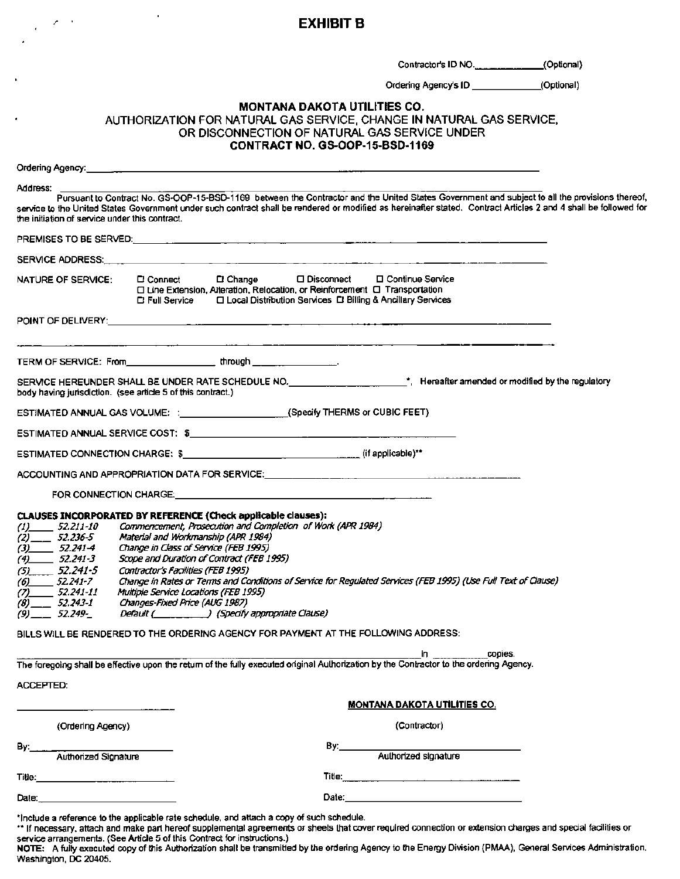### research of the state of the state of the **EXHIBIT B**

ï

 $\epsilon$  .

Contractor's ID NO..\_\_\_\_\_\_(Optional)

Ordering Agency's ID \_\_\_\_\_(Optional)

#### MONTANA DAKOTA UTILITIES CO.

#### AUTHORIZATION FOR NATURAL GAS SERVICE, CHANGE IN NATURAL GAS SERVICE. OR DISCONNECTION OF NATURAL GAS SERVICE UNDER CONTRACT NO. GS-OOP-15-BSD-1169

| Address:<br>Pursuant to Contract No. GS-OOP-15-BSD-1169 between the Contractor and the United States Government and subject to all the provisions thereof,<br>service to the United States Government under such contract shall be rendered or modified as hereinafter stated. Contract Articles 2 and 4 shall be followed for<br>the initiation of service under this contract. |                                                                                                                                                                                          |                                                                                                                                                                                                                                                                                                                                                                                                                                                                                                                                                                                                                                 |
|----------------------------------------------------------------------------------------------------------------------------------------------------------------------------------------------------------------------------------------------------------------------------------------------------------------------------------------------------------------------------------|------------------------------------------------------------------------------------------------------------------------------------------------------------------------------------------|---------------------------------------------------------------------------------------------------------------------------------------------------------------------------------------------------------------------------------------------------------------------------------------------------------------------------------------------------------------------------------------------------------------------------------------------------------------------------------------------------------------------------------------------------------------------------------------------------------------------------------|
|                                                                                                                                                                                                                                                                                                                                                                                  |                                                                                                                                                                                          |                                                                                                                                                                                                                                                                                                                                                                                                                                                                                                                                                                                                                                 |
|                                                                                                                                                                                                                                                                                                                                                                                  |                                                                                                                                                                                          |                                                                                                                                                                                                                                                                                                                                                                                                                                                                                                                                                                                                                                 |
|                                                                                                                                                                                                                                                                                                                                                                                  | NATURE OF SERVICE:                                                                                                                                                                       | $\square$ Change<br>□ Disconnect □ Continue Service<br><b>C</b> Connect<br>□ Line Extension, Alteration, Relocation, or Reinforcement □ Transportation<br>□ Local Distribution Services □ Billing & Ancillary Services<br>다 Full Service                                                                                                                                                                                                                                                                                                                                                                                        |
|                                                                                                                                                                                                                                                                                                                                                                                  |                                                                                                                                                                                          |                                                                                                                                                                                                                                                                                                                                                                                                                                                                                                                                                                                                                                 |
|                                                                                                                                                                                                                                                                                                                                                                                  |                                                                                                                                                                                          |                                                                                                                                                                                                                                                                                                                                                                                                                                                                                                                                                                                                                                 |
|                                                                                                                                                                                                                                                                                                                                                                                  |                                                                                                                                                                                          | body having jurisdiction. (see article 5 of this contract.)                                                                                                                                                                                                                                                                                                                                                                                                                                                                                                                                                                     |
|                                                                                                                                                                                                                                                                                                                                                                                  |                                                                                                                                                                                          | ESTIMATED ANNUAL GAS VOLUME: :______________________(Specify THERMS or CUBIC FEET)                                                                                                                                                                                                                                                                                                                                                                                                                                                                                                                                              |
|                                                                                                                                                                                                                                                                                                                                                                                  |                                                                                                                                                                                          |                                                                                                                                                                                                                                                                                                                                                                                                                                                                                                                                                                                                                                 |
|                                                                                                                                                                                                                                                                                                                                                                                  |                                                                                                                                                                                          |                                                                                                                                                                                                                                                                                                                                                                                                                                                                                                                                                                                                                                 |
|                                                                                                                                                                                                                                                                                                                                                                                  |                                                                                                                                                                                          | ACCOUNTING AND APPROPRIATION DATA FOR SERVICE:___________________________________                                                                                                                                                                                                                                                                                                                                                                                                                                                                                                                                               |
|                                                                                                                                                                                                                                                                                                                                                                                  |                                                                                                                                                                                          | FOR CONNECTION CHARGE. The contract of the contract of the contract of the contract of the contract of the contract of the contract of the contract of the contract of the contract of the contract of the contract of the con                                                                                                                                                                                                                                                                                                                                                                                                  |
| (5)                                                                                                                                                                                                                                                                                                                                                                              | $(1)$ 52.211-10<br>$(2)$ <sub>__</sub> 52.236-5<br>$(3)$ 52.241-4<br>$(4)$ 52.241-3<br>$-52.241-5$<br>$(6)$ 52.241-7<br>$(7)$ 52.241-11<br>$(8)$ <sub>__</sub> 52.243-1<br>$(9)$ 52.249- | CLAUSES INCORPORATED BY REFERENCE (Check applicable clauses):<br>Commencement, Prosecution and Completion of Work (APR 1984)<br>Material and Workmanship (APR 1984)<br>Change in Class of Service (FEB 1995)<br>Scope and Duration of Contract (FEB 1995)<br>Contractor's Facilities (FEB 1995)<br>Change in Rates or Terms and Conditions of Service for Regulated Services (FEB 1995) (Use Full Text of Clause)<br>Multiple Service Locations (FEB 1995)<br>Changes-Fixed Price (AUG 1987)<br>Default ( ) (Specify appropriate Clause)<br>BILLS WILL BE RENDERED TO THE ORDERING AGENCY FOR PAYMENT AT THE FOLLOWING ADDRESS: |
|                                                                                                                                                                                                                                                                                                                                                                                  |                                                                                                                                                                                          | copies.<br>ID.<br>The foregoing shall be effective upon the return of the fully executed original Authorization by the Contractor to the ordering Agency.                                                                                                                                                                                                                                                                                                                                                                                                                                                                       |
| <b>ACCEPTED:</b>                                                                                                                                                                                                                                                                                                                                                                 |                                                                                                                                                                                          |                                                                                                                                                                                                                                                                                                                                                                                                                                                                                                                                                                                                                                 |
|                                                                                                                                                                                                                                                                                                                                                                                  |                                                                                                                                                                                          | <u>MONTANA DAKOTA UTILITIES CO.</u>                                                                                                                                                                                                                                                                                                                                                                                                                                                                                                                                                                                             |
|                                                                                                                                                                                                                                                                                                                                                                                  | (Ordering Agency)                                                                                                                                                                        | (Contractor)                                                                                                                                                                                                                                                                                                                                                                                                                                                                                                                                                                                                                    |
| By:                                                                                                                                                                                                                                                                                                                                                                              | -<br>Authorized Signature                                                                                                                                                                | Authorized signature                                                                                                                                                                                                                                                                                                                                                                                                                                                                                                                                                                                                            |
|                                                                                                                                                                                                                                                                                                                                                                                  |                                                                                                                                                                                          |                                                                                                                                                                                                                                                                                                                                                                                                                                                                                                                                                                                                                                 |
|                                                                                                                                                                                                                                                                                                                                                                                  |                                                                                                                                                                                          |                                                                                                                                                                                                                                                                                                                                                                                                                                                                                                                                                                                                                                 |
| Date:                                                                                                                                                                                                                                                                                                                                                                            |                                                                                                                                                                                          | Date: <u>Date: Alexander State (1999)</u>                                                                                                                                                                                                                                                                                                                                                                                                                                                                                                                                                                                       |

\*Include a reference to the applicable rate schedule. and attach a copy of such schedule.

\*\* If necessary, attach and make part hereof supplemental agreements or sheets that cover required connection or extension charges and special facilities or service arrangements. (See Article 5 of this Contract for instructions.)

NOTE: A fully executed copy of this Authorization shall be transmitted by the ordering Agency to the Energy Division (PMAA), General Services Administration, Washington, DC 20405.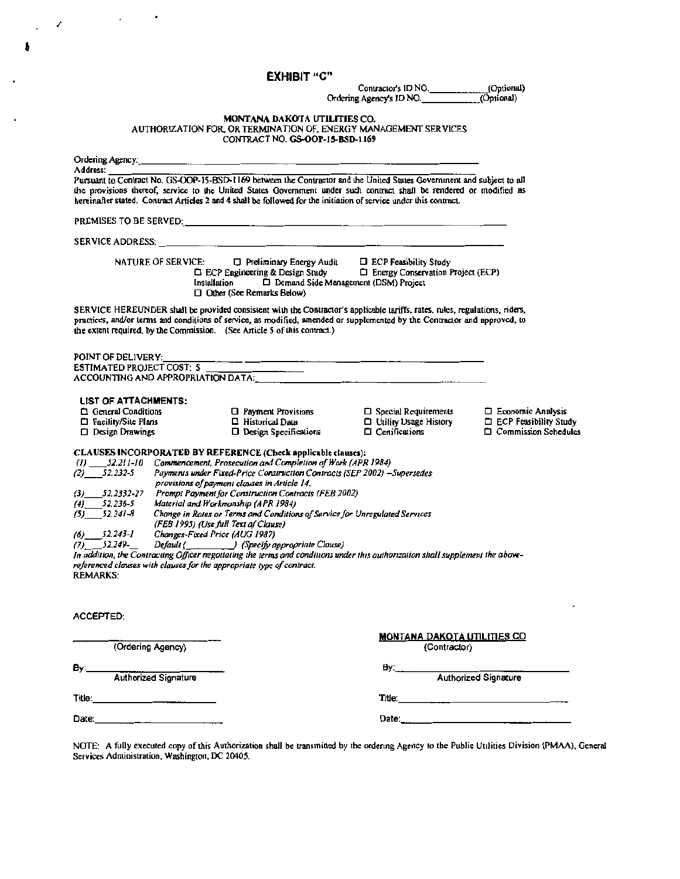EXHIBIT "C"

,  $\mathcal{L}$ 

 $\bullet$ 

 $\ddot{\phantom{a}}$ 

•

Contractor's ID NO. (Optional)<br>g Agency's ID NO. (Optional) Ordering Agency's ID NO.

# MONTANA DAKOTA UTILITIES CO.<br>AUTHORIZATION FOR, OR TERMINATION OF, ENERGY MANAGEMENT SERVICES<br>CONTRACT NO. **GS-OOP-15-BSD-1169**

| Pursuant to Contract No. GS-OOP-15-BSD-1169 between the Contractor and the United States Government and subject to all                                                                                                                                                                                                            |                                                                                                                                                                                                                                                                                                                                                                                                                                                                                |
|-----------------------------------------------------------------------------------------------------------------------------------------------------------------------------------------------------------------------------------------------------------------------------------------------------------------------------------|--------------------------------------------------------------------------------------------------------------------------------------------------------------------------------------------------------------------------------------------------------------------------------------------------------------------------------------------------------------------------------------------------------------------------------------------------------------------------------|
|                                                                                                                                                                                                                                                                                                                                   |                                                                                                                                                                                                                                                                                                                                                                                                                                                                                |
| the provisions thereof, service to the United States Government under such contract shall be rendered or modified as                                                                                                                                                                                                              |                                                                                                                                                                                                                                                                                                                                                                                                                                                                                |
|                                                                                                                                                                                                                                                                                                                                   |                                                                                                                                                                                                                                                                                                                                                                                                                                                                                |
|                                                                                                                                                                                                                                                                                                                                   |                                                                                                                                                                                                                                                                                                                                                                                                                                                                                |
|                                                                                                                                                                                                                                                                                                                                   |                                                                                                                                                                                                                                                                                                                                                                                                                                                                                |
| <b>D</b> Preliminary Energy Audit<br><b>D</b> ECP Feasibility Study<br>□ ECP Engineering & Design Study<br>$\Box$ Energy Conservation Project (ECP)<br>Demand Side Management (DSM) Project                                                                                                                                       |                                                                                                                                                                                                                                                                                                                                                                                                                                                                                |
| SERVICE HEREUNDER shall be provided consistent with the Contractor's applicable tariffs, rates, rules, regulations, riders,<br>practices, and/or terms and conditions of service, as modified, amended or supplemented by the Contractor and approved, to                                                                         |                                                                                                                                                                                                                                                                                                                                                                                                                                                                                |
| <u> 1988 - Johann Barn, fransk politik (d. 1989)</u>                                                                                                                                                                                                                                                                              |                                                                                                                                                                                                                                                                                                                                                                                                                                                                                |
| ACCOUNTING AND APPROPRIATION DATA: And the contract of the contract of the contract of the contract of the contract of the contract of the contract of the contract of the contract of the contract of the contract of the con                                                                                                    |                                                                                                                                                                                                                                                                                                                                                                                                                                                                                |
|                                                                                                                                                                                                                                                                                                                                   |                                                                                                                                                                                                                                                                                                                                                                                                                                                                                |
| $\Box$ Special Requirements                                                                                                                                                                                                                                                                                                       | <b>Exploration Analysis</b>                                                                                                                                                                                                                                                                                                                                                                                                                                                    |
|                                                                                                                                                                                                                                                                                                                                   | <b>EXECP Feasibility Study</b><br><b>Commission Schedules</b>                                                                                                                                                                                                                                                                                                                                                                                                                  |
| Prompt Payment for Construction Contracts (FEB 2002)<br>Change in Rates or Terms and Conditions of Service for Unregulated Services<br>Default (Changeland Clause) (Specify appropriate Clause)<br>In addition, the Contracting Officer negotiating the terms and conditions under this authorization shall supplement the above- |                                                                                                                                                                                                                                                                                                                                                                                                                                                                                |
|                                                                                                                                                                                                                                                                                                                                   |                                                                                                                                                                                                                                                                                                                                                                                                                                                                                |
| <b>MONTANA DAKOTA UTILITIES CO</b>                                                                                                                                                                                                                                                                                                |                                                                                                                                                                                                                                                                                                                                                                                                                                                                                |
|                                                                                                                                                                                                                                                                                                                                   |                                                                                                                                                                                                                                                                                                                                                                                                                                                                                |
|                                                                                                                                                                                                                                                                                                                                   |                                                                                                                                                                                                                                                                                                                                                                                                                                                                                |
|                                                                                                                                                                                                                                                                                                                                   |                                                                                                                                                                                                                                                                                                                                                                                                                                                                                |
|                                                                                                                                                                                                                                                                                                                                   |                                                                                                                                                                                                                                                                                                                                                                                                                                                                                |
|                                                                                                                                                                                                                                                                                                                                   |                                                                                                                                                                                                                                                                                                                                                                                                                                                                                |
|                                                                                                                                                                                                                                                                                                                                   | hereinafter stated. Contract Articles 2 and 4 shall be followed for the initiation of service under this contract.<br><b>D</b> Utility Usage History<br>D Design Specifications<br>$\Box$ Certifications<br>CLAUSES INCORPORATED BY REFERENCE (Check applicable clauses):<br>(1) 52.211-10 Commencement, Prosecution and Completion of Work (APR 1984)<br>Payments under Fixed-Price Construction Contracts (SEP 2002) -Supersedes<br>(Contractor)<br>By: Authorized Signature |

Services Administration, Washington, DC 20405.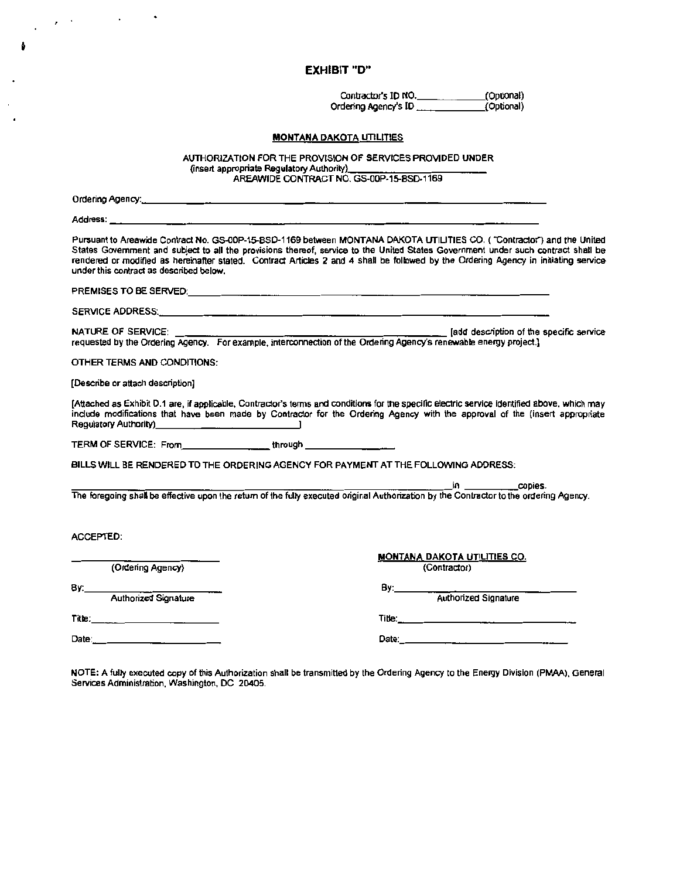EXHIBIT "'D''

Contractor's IO NO.\_\_\_\_\_.(Optlooal) Ordering Agency's ID <u>....... (</u>Optional)

#### MONTANA DAKOTA UTILITIES

AUTHORIZATION FOR THE PROVISION OF SERVICES PROVIDED UNDER<br>(insert appropriate Requisitory Authority) AREAWIDE CONTRACT NO. GS-00P-15-BSD-1169

Ordering Agency:

Address: \_

Pursuant to Areawide Contract No. GS-OOP-15-BSD-1169 between MONTANA DAKOTA UTILITIES CO. ( "Conlractor") and the United States Govemment and subject to all the provisions thereof, service to the United States Government under such contract shall be rendered or modified as hereinafter stated. Contract Articles 2 and 4 shall be followed by the Ordering Agency in initiating service under this contract as described below.

PREMISES TO BE SERVED:--------------------------

SERVICE ADDRESS:·----------------------------

NATURE OF SERVICE: **[add description of the specific service** ] [add description of the specific service requested by the Ordering Agency. For example, interconnection of the Ordering Agency's renewable energy project.)

OTHER TERMS AND CONDITIONS:

[Describe or attach description)

[Attached as Exhibit D.1 are, if appficable, Contractor's terms and conditions for the specific electric servioe identified above, which may include modifications that have been made by Contractor for the Ordering Agency with the approval of the (insert appropriate Regulatory Authority). \_\_\_\_\_\_\_\_\_\_\_\_\_.  $\overline{\mathsf{I}}$ TERM OF SERVICE: From.\_\_\_\_\_\_\_through \_\_\_\_\_\_\_

BILLS WILL BE RENDERED TO THE ORDERING AGENCY FOR PAYMENT AT THE FOLLOWING ADDRESS:

---------------------------------in copies. The foregoing shal be effective upon the retum of the fully executed original AuthOrization by the Contractor to the ordering Agency.

ACCEPTED:

| (Ordering Agency)                  | <b>MONTANA DAKOTA UTILITIES CO.</b><br>(Contractor) |
|------------------------------------|-----------------------------------------------------|
| Βy:<br><b>Authorized Signature</b> | В۷:<br><b>Authorized Signature</b>                  |
| Title:______                       | Title:                                              |
| Date:                              | Date:                                               |

NOTE: A fully executed copy of this Authorization shall be transmitted by the Ordering Agency to the Energy Division (PMAA), General Services Administration, Washington, DC 20405.

•

 $\cdot$ 

 $\mathbf{z}=\mathbf{z}$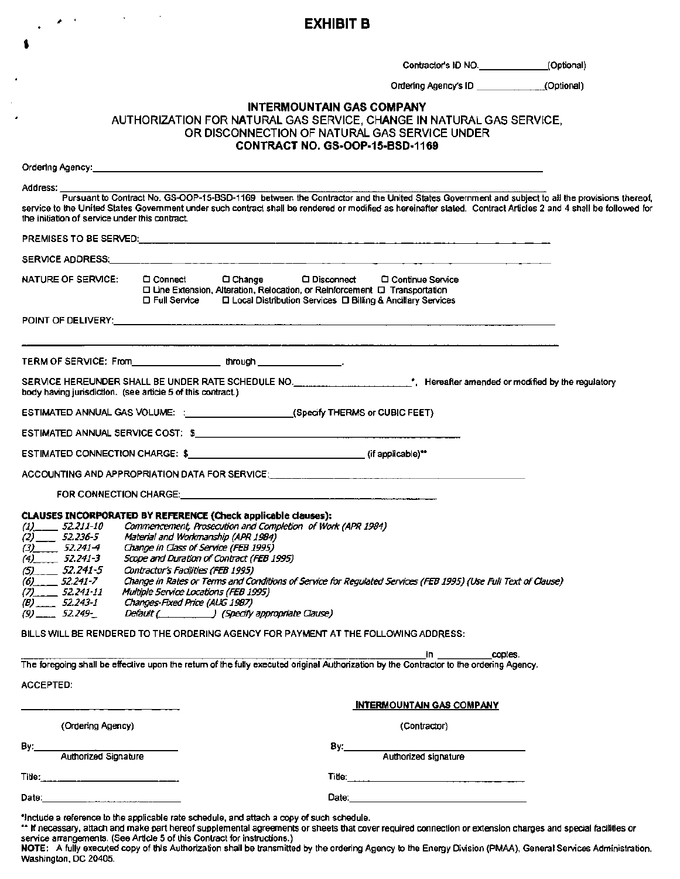# ,, . **EXHIBIT B**

Contractor's ID NO. \_\_\_\_\_\_\_\_\_\_\_\_(Optional)

Ordering Agency's ID \_\_\_\_\_\_\_\_\_\_\_\_\_\_\_(Optional)

#### INTERMOUNTAIN GAS COMPANY

AUTHORIZATION FOR NATURAL GAS SERVICE, CHANGE IN NATURAL GAS SERVICE, OR DISCONNECTION OF NATURAL GAS SERVICE UNDER CONTRACT NO. GS·OOP·15·BSD·1169

| Address:         |                                                                                                                         | Pursuant to Contract No. GS-OOP-15-BSD-1169 between the Contractor and the United States Government and subject to all the provisions thereof,                                                                                                                                                                                                                                                                                                             |  |
|------------------|-------------------------------------------------------------------------------------------------------------------------|------------------------------------------------------------------------------------------------------------------------------------------------------------------------------------------------------------------------------------------------------------------------------------------------------------------------------------------------------------------------------------------------------------------------------------------------------------|--|
|                  | the initiation of service under this contract.                                                                          | service to the United States Government under such contract shall be rendered or modified as hereinafter stated. Contract Articles 2 and 4 shall be followed for                                                                                                                                                                                                                                                                                           |  |
|                  |                                                                                                                         |                                                                                                                                                                                                                                                                                                                                                                                                                                                            |  |
|                  |                                                                                                                         |                                                                                                                                                                                                                                                                                                                                                                                                                                                            |  |
|                  | <b>NATURE OF SERVICE:</b>                                                                                               | $\Box$ Connect<br>□ Disconnect<br>$\Box$ Change<br>C Continue Service<br>□ Line Extension, Alteration, Relocation, or Reinforcement □ Transportation<br><b>□ Full Service</b><br>□ Local Distribution Services □ Billing & Ancillary Services                                                                                                                                                                                                              |  |
|                  |                                                                                                                         |                                                                                                                                                                                                                                                                                                                                                                                                                                                            |  |
|                  |                                                                                                                         |                                                                                                                                                                                                                                                                                                                                                                                                                                                            |  |
|                  |                                                                                                                         | SERVICE HEREUNDER SHALL BE UNDER RATE SCHEDULE NO. _______________________*, Hereafter amended or modified by the regulatory<br>body having jurisdiction. (see article 5 of this contract.)                                                                                                                                                                                                                                                                |  |
|                  |                                                                                                                         | ESTIMATED ANNUAL GAS VOLUME: :______________________(Specify THERMS or CUBIC FEET)                                                                                                                                                                                                                                                                                                                                                                         |  |
|                  |                                                                                                                         |                                                                                                                                                                                                                                                                                                                                                                                                                                                            |  |
|                  |                                                                                                                         |                                                                                                                                                                                                                                                                                                                                                                                                                                                            |  |
|                  |                                                                                                                         | ACCOUNTING AND APPROPRIATION DATA FOR SERVICE:__________________________________                                                                                                                                                                                                                                                                                                                                                                           |  |
|                  |                                                                                                                         |                                                                                                                                                                                                                                                                                                                                                                                                                                                            |  |
|                  | $(2)$ <sub>___</sub> 52.236-5<br>$(3)$ 52.241-4<br>$(4)$ 52.241-3<br>$(5)$ 52.241-5<br>$(6)$ <sub>11</sub> $-$ 52.241-7 | CLAUSES INCORPORATED BY REFERENCE (Check applicable clauses):<br>Commencement, Prosecution and Completion of Work (APR 1984)<br>Material and Workmanship (APR 1984)<br>Change in Class of Service (FEB 1995)<br>Scope and Duration of Contract (FEB 1995)<br>Contractor's Facilities (FEB 1995)<br>Change in Rates or Terms and Conditions of Service for Regulated Services (FEB 1995) (Use Full Text of Clause)<br>Multiple Service Locations (FEB 1995) |  |
|                  | $(B)$ 52.243-1<br>Changes-Fixed Price (AUG 1987)<br>$(9)$ 52.249-<br>Default ( ) (Specify appropriate Clause)           |                                                                                                                                                                                                                                                                                                                                                                                                                                                            |  |
|                  |                                                                                                                         | BILLS WILL BE RENDERED TO THE ORDERING AGENCY FOR PAYMENT AT THE FOLLOWING ADDRESS:                                                                                                                                                                                                                                                                                                                                                                        |  |
|                  |                                                                                                                         | copies.<br>in.<br>The foregoing shall be effective upon the return of the fully executed original Authorization by the Contractor to the ordering Agency.                                                                                                                                                                                                                                                                                                  |  |
| <b>ACCEPTED:</b> |                                                                                                                         |                                                                                                                                                                                                                                                                                                                                                                                                                                                            |  |
|                  |                                                                                                                         | <b>INTERMOUNTAIN GAS COMPANY</b>                                                                                                                                                                                                                                                                                                                                                                                                                           |  |
|                  | (Ordering Agency)                                                                                                       | (Contractor)                                                                                                                                                                                                                                                                                                                                                                                                                                               |  |
| By:              |                                                                                                                         | By:_____                                                                                                                                                                                                                                                                                                                                                                                                                                                   |  |
|                  | Authorized Signature                                                                                                    | Authorized signature                                                                                                                                                                                                                                                                                                                                                                                                                                       |  |
| Date:            |                                                                                                                         | Date:                                                                                                                                                                                                                                                                                                                                                                                                                                                      |  |

\*include a reference to the applicable rate schedule, and attach a copy of such schedule.<br>\*\* If necessary, attach and make part hereof supplemental agreements or sheets that cover required connection or extension charges a service arrangements. (See Article 5 of this Contract for instructions.)

NOTE: A fully executed copy of this Authorization shall be transmitted by the ordering Agency to the Energy Division (PMAA). General Services Administration. Washington. DC 20405.

 $\bullet$  .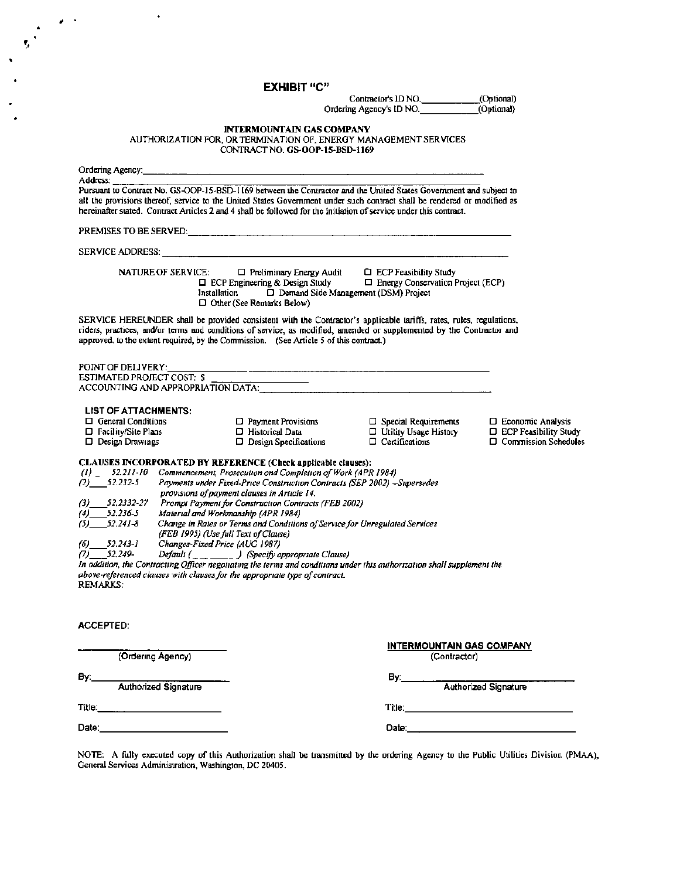**EXHIBIT** "C" Contractor's ID NO. (Optional)<br>ng Agency's ID NO. (Optional) Ordering Agency's ID NO. $-$ INTERMOUNTAIN GAS COMPANY AUTHORIZATION FOR, OR TERMINATION OF, ENERGY MANAGEMENT SERVICES CONTRACT NO. GS-OOP-15-BSD·l169 Ordering Agency:\_\_\_\_\_\_\_\_\_\_\_\_\_\_\_\_\_\_\_\_\_\_\_\_\_\_\_\_\_ Address:<br>Pursuant to Contract No. GS-OOP-15-BSD-1169 between the Contractor and the United States Government and subject to all the provisions thereof, service to the United States Government under such contract shall be rendered or modified as hereinafter stated. Contract Articles 2 and 4 shall be followed for the initiation of service under this contract. PREMISES TO BE SERVED:\_\_\_\_\_\_\_\_\_\_\_\_\_\_\_\_\_\_\_\_\_\_\_\_\_ SERVICE ADDRESS: \_\_\_\_\_\_\_\_\_\_\_\_\_\_\_\_\_\_\_\_\_\_\_\_\_\_ NATURE OF SERVICE:  $\Box$  Preliminary Energy Audit  $\Box$  ECP Feasibility Study  $\Box$  ECP Engineering & Design Study  $\Box$  Energy Conservation Project (ECP)  $\Box$  ECP Engineering & Design Study Installation  $\Box$  Demand Side Management (DSM) Project Cl Other {See Remarks Below) SERVICE HEREUNDER shall be provided consistent with the Contractor's applicable tariffs, rates, rules, regulations, riders, practices, and/or terms and conditions of service, as modified, amended or supplemented by the Contractor and approved, to the extent required, by the Commission. (See Article 5 of this contract.) POINT OF DELIVERY:\_\_\_\_\_\_\_\_\_\_\_\_\_\_\_\_\_\_\_\_\_\_\_\_\_\_\_ ESTIMATED PROJECT COST: \$ ACCOUNTING AND APPROPRIATION DATA:\_\_\_\_\_\_\_\_\_\_\_\_\_\_\_\_\_\_ LIST OF ATTACHMENTS:<br>□ General Conditions Cl General Conditions 0 Payment Provisions 0 Special Requirements D Economic Analysis Cl Facility/Site Plans 0 Historical Data 0 Utility Usage History D ECP Feasibility Study  $\square$  Design Specifications CLAUSES INCORPORATED BY REFERENCE (Check applicable clauses}: *(1) \_ 52.211-10 Commencemem, Prosecut1onandCompletionofWork(APR 1984) (2)\_52.232-5 Payments under Fixed-Price Construction Contracts (SEP 2002) -Supersedes provisions ofpayment clauses in Ar11cle* 14. *(3)\_52.2332-27 Prompt Paymentfor Construction Contracts (FEB 2002) (4)\_52.236-5 Material and Workmanship (APR 1984) (5)\_52.241-8 Change in Rates or Terms and Condllions ofService for Unregulated Services (FEB 1995) (Useful/ Text o/Clause) (6)\_52.UJ-l Changes-FLwd Price (AUG 1987) (7)\_52.249-\_ Default ( (Specifyappropnate Clause) Jn addition, the Contracring Officer negotiating the terms and conditions under this authonzation shall supplement the above-referenced clauses with clauses for the appropriate type of contract.* REMARKS: ACCEPTED: INTERMOUNTAIN GAS COMPANY (Ordering Agency) (Contractor) By:\_\_\_\_\_\_\_\_\_\_\_ By:\_\_\_\_\_\_\_\_\_\_\_\_\_ \_ Authorized Signature **Authorized Signature** Authorized Signature Title:<br>Title: Date:.\_\_\_\_\_\_\_\_\_\_\_ Date:\_\_\_\_\_\_\_\_\_\_\_\_\_\_

; .

NOTE: A fully executed copy of this Authorization shall be transmitted by the ordering Agency to the Public Utilities Division (PMAA), General Services Administration, Washington, DC 20405.